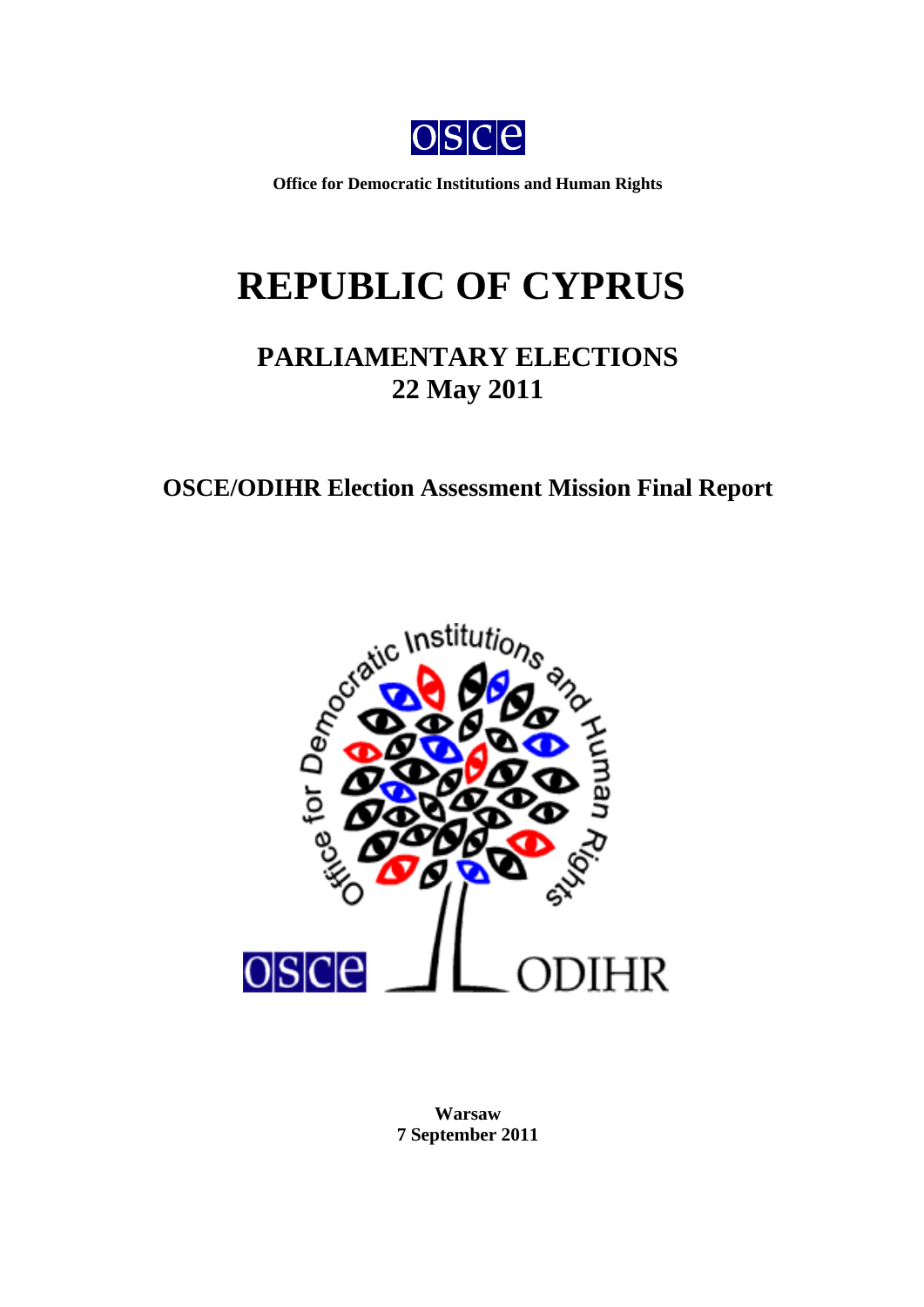

**Office for Democratic Institutions and Human Rights** 

# **REPUBLIC OF CYPRUS**

# **PARLIAMENTARY ELECTIONS 22 May 2011**

# **OSCE/ODIHR Election Assessment Mission Final Report**



<span id="page-0-0"></span>**Warsaw 7 September 2011**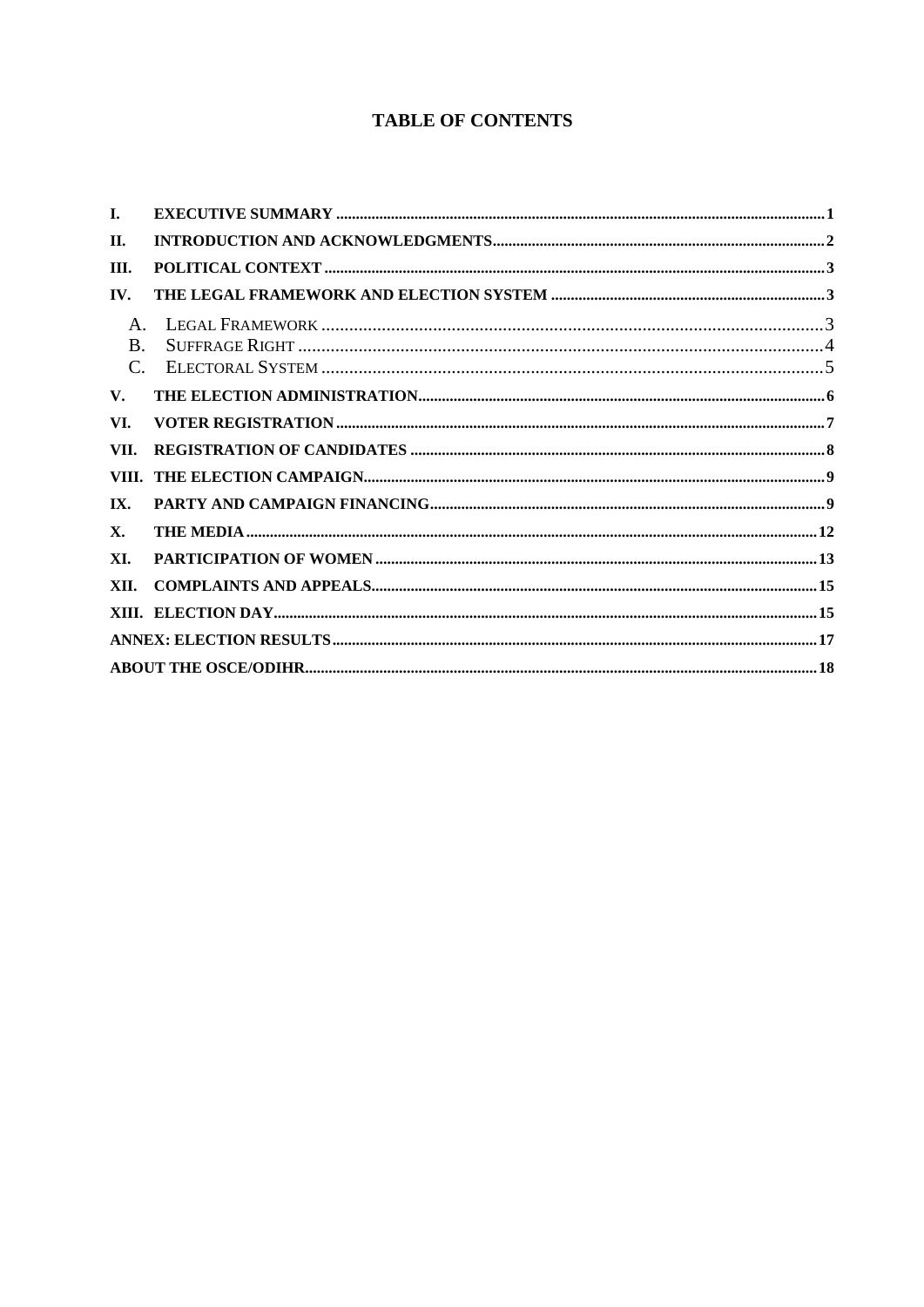# **TABLE OF CONTENTS**

| I.          |  |
|-------------|--|
| П.          |  |
| Ш.          |  |
| IV.         |  |
| $A_{\cdot}$ |  |
| $\bf{B}$    |  |
| $C_{\cdot}$ |  |
| V.          |  |
| VI.         |  |
| VII.        |  |
|             |  |
| IX.         |  |
| X.          |  |
| XI.         |  |
| XII.        |  |
|             |  |
|             |  |
|             |  |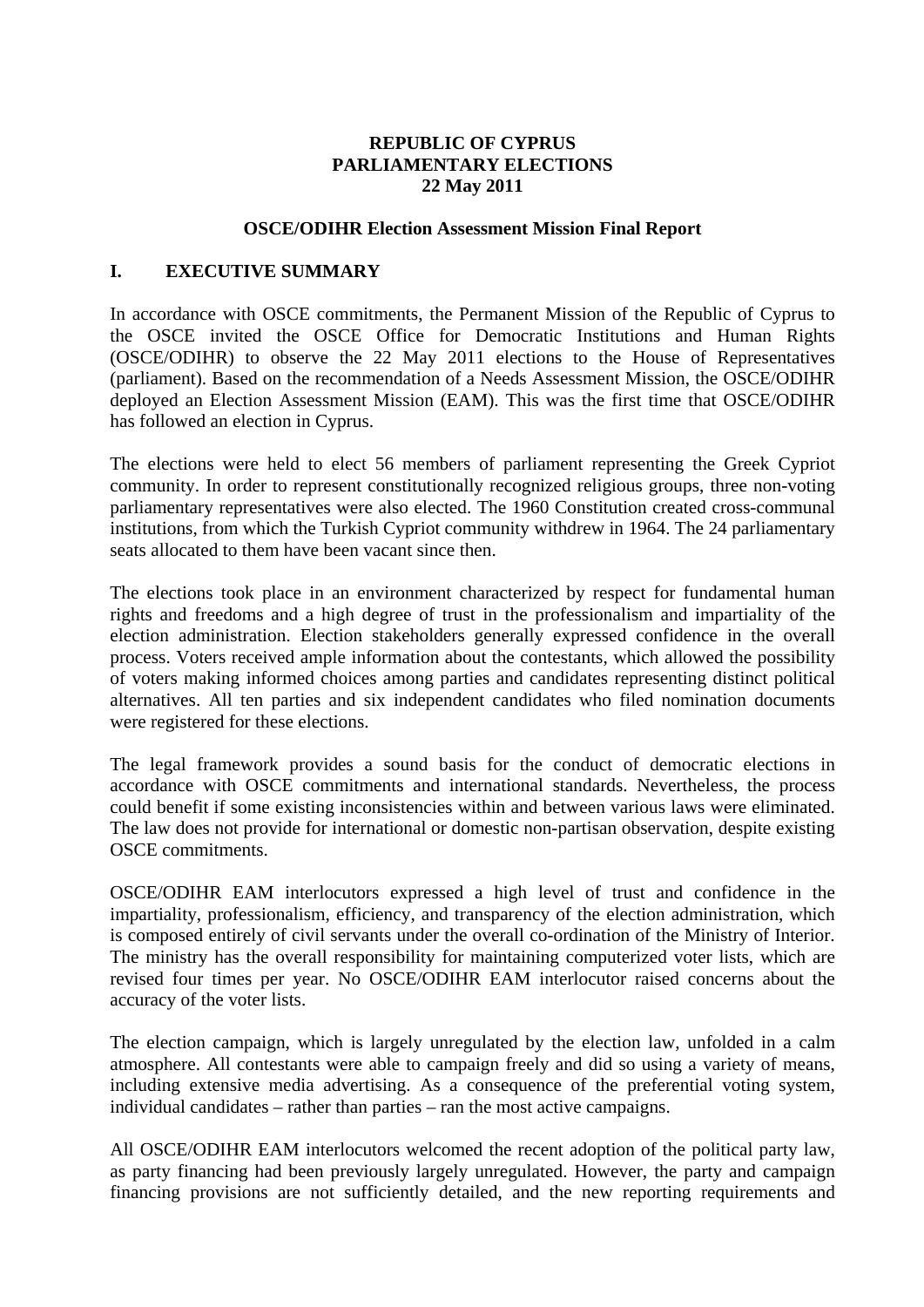#### **REPUBLIC OF CYPRUS PARLIAMENTARY ELECTIONS 22 May 2011**

#### **OSCE/ODIHR Election Assessment Mission Final Report**

#### <span id="page-2-0"></span>**I. EXECUTIVE SUMMARY**

In accordance with OSCE commitments, the Permanent Mission of the Republic of Cyprus to the OSCE invited the OSCE Office for Democratic Institutions and Human Rights (OSCE/ODIHR) to observe the 22 May 2011 elections to the House of Representatives (parliament). Based on the recommendation of a Needs Assessment Mission, the OSCE/ODIHR deployed an Election Assessment Mission (EAM). This was the first time that OSCE/ODIHR has followed an election in Cyprus.

The elections were held to elect 56 members of parliament representing the Greek Cypriot community. In order to represent constitutionally recognized religious groups, three non-voting parliamentary representatives were also elected. The 1960 Constitution created cross-communal institutions, from which the Turkish Cypriot community withdrew in 1964. The 24 parliamentary seats allocated to them have been vacant since then.

The elections took place in an environment characterized by respect for fundamental human rights and freedoms and a high degree of trust in the professionalism and impartiality of the election administration. Election stakeholders generally expressed confidence in the overall process. Voters received ample information about the contestants, which allowed the possibility of voters making informed choices among parties and candidates representing distinct political alternatives. All ten parties and six independent candidates who filed nomination documents were registered for these elections.

The legal framework provides a sound basis for the conduct of democratic elections in accordance with OSCE commitments and international standards. Nevertheless, the process could benefit if some existing inconsistencies within and between various laws were eliminated. The law does not provide for international or domestic non-partisan observation, despite existing OSCE commitments.

OSCE/ODIHR EAM interlocutors expressed a high level of trust and confidence in the impartiality, professionalism, efficiency, and transparency of the election administration, which is composed entirely of civil servants under the overall co-ordination of the Ministry of Interior. The ministry has the overall responsibility for maintaining computerized voter lists, which are revised four times per year. No OSCE/ODIHR EAM interlocutor raised concerns about the accuracy of the voter lists.

The election campaign, which is largely unregulated by the election law, unfolded in a calm atmosphere. All contestants were able to campaign freely and did so using a variety of means, including extensive media advertising. As a consequence of the preferential voting system, individual candidates – rather than parties – ran the most active campaigns.

All OSCE/ODIHR EAM interlocutors welcomed the recent adoption of the political party law, as party financing had been previously largely unregulated. However, the party and campaign financing provisions are not sufficiently detailed, and the new reporting requirements and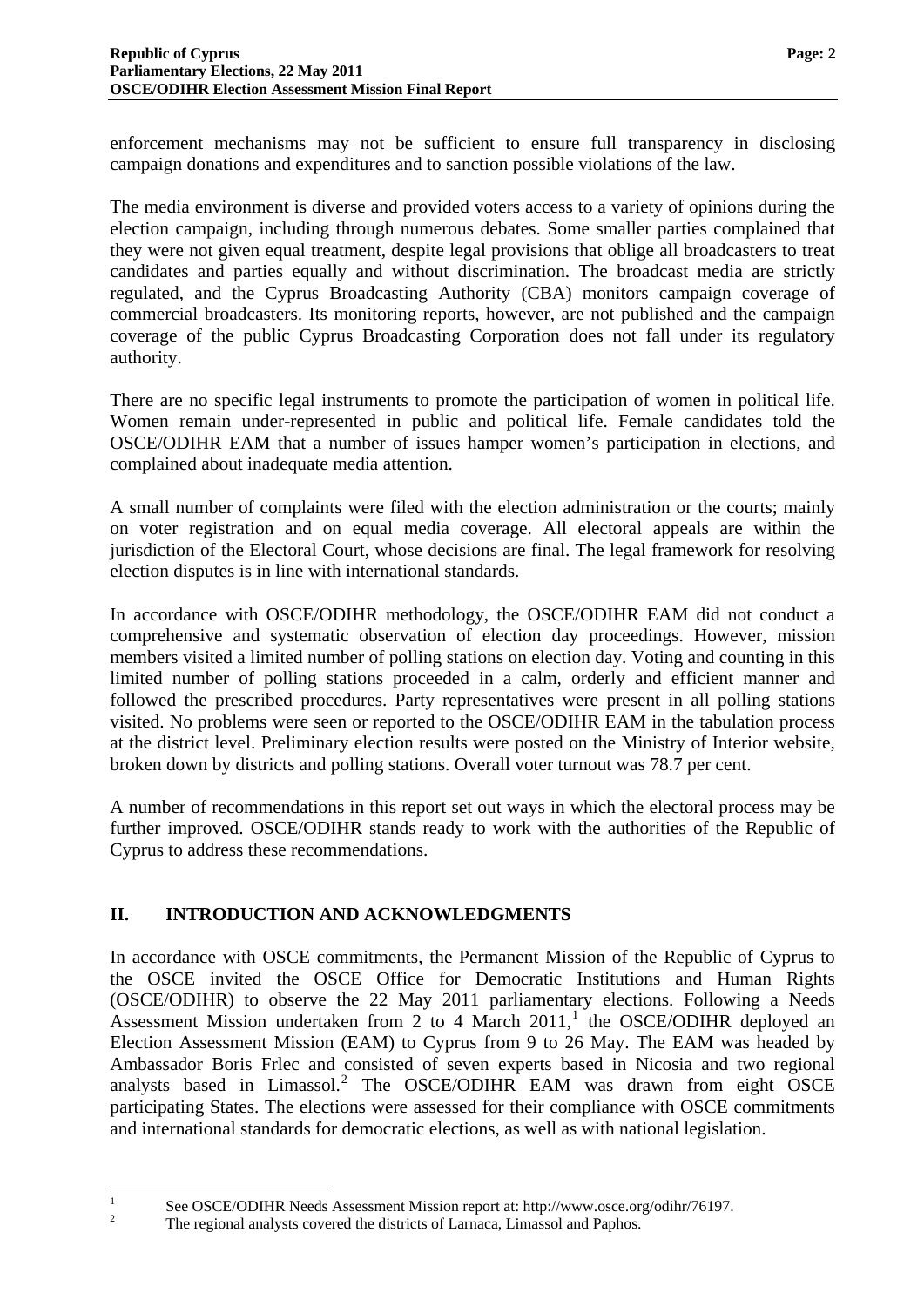enforcement mechanisms may not be sufficient to ensure full transparency in disclosing campaign donations and expenditures and to sanction possible violations of the law.

The media environment is diverse and provided voters access to a variety of opinions during the election campaign, including through numerous debates. Some smaller parties complained that they were not given equal treatment, despite legal provisions that oblige all broadcasters to treat candidates and parties equally and without discrimination. The broadcast media are strictly regulated, and the Cyprus Broadcasting Authority (CBA) monitors campaign coverage of commercial broadcasters. Its monitoring reports, however, are not published and the campaign coverage of the public Cyprus Broadcasting Corporation does not fall under its regulatory authority.

There are no specific legal instruments to promote the participation of women in political life. Women remain under-represented in public and political life. Female candidates told the OSCE/ODIHR EAM that a number of issues hamper women's participation in elections, and complained about inadequate media attention.

A small number of complaints were filed with the election administration or the courts; mainly on voter registration and on equal media coverage. All electoral appeals are within the jurisdiction of the Electoral Court, whose decisions are final. The legal framework for resolving election disputes is in line with international standards.

In accordance with OSCE/ODIHR methodology, the OSCE/ODIHR EAM did not conduct a comprehensive and systematic observation of election day proceedings. However, mission members visited a limited number of polling stations on election day. Voting and counting in this limited number of polling stations proceeded in a calm, orderly and efficient manner and followed the prescribed procedures. Party representatives were present in all polling stations visited. No problems were seen or reported to the OSCE/ODIHR EAM in the tabulation process at the district level. Preliminary election results were posted on the Ministry of Interior website, broken down by districts and polling stations. Overall voter turnout was 78.7 per cent.

A number of recommendations in this report set out ways in which the electoral process may be further improved. OSCE/ODIHR stands ready to work with the authorities of the Republic of Cyprus to address these recommendations.

## <span id="page-3-0"></span>**II. INTRODUCTION AND ACKNOWLEDGMENTS**

<span id="page-3-2"></span>and international standards for democratic elections, as well as with national legislation. In accordance with OSCE commitments, the Permanent Mission of the Republic of Cyprus to the OSCE invited the OSCE Office for Democratic Institutions and Human Rights (OSCE/ODIHR) to observe the 22 May 2011 parliamentary elections. Following a Needs Assessment Mission undertaken from 2 to 4 March  $2011$  $2011$  $2011$ , the OSCE/ODIHR deployed an Election Assessment Mission (EAM) to Cyprus from 9 to 26 May. The EAM was headed by Ambassador Boris Frlec and consisted of seven experts based in Nicosia and two regional analysts based in Limassol.<sup>[2](#page-3-1)</sup> The OSCE/ODIHR EAM was drawn from eight OSCE participating States. The elections were assessed for their compliance with OSCE commitments

<span id="page-3-1"></span>See OSCE/ODIHR Needs Assessment Mission report at: http://www.osce.org/odihr/76197.

The regional analysts covered the districts of Larnaca, Limassol and Paphos.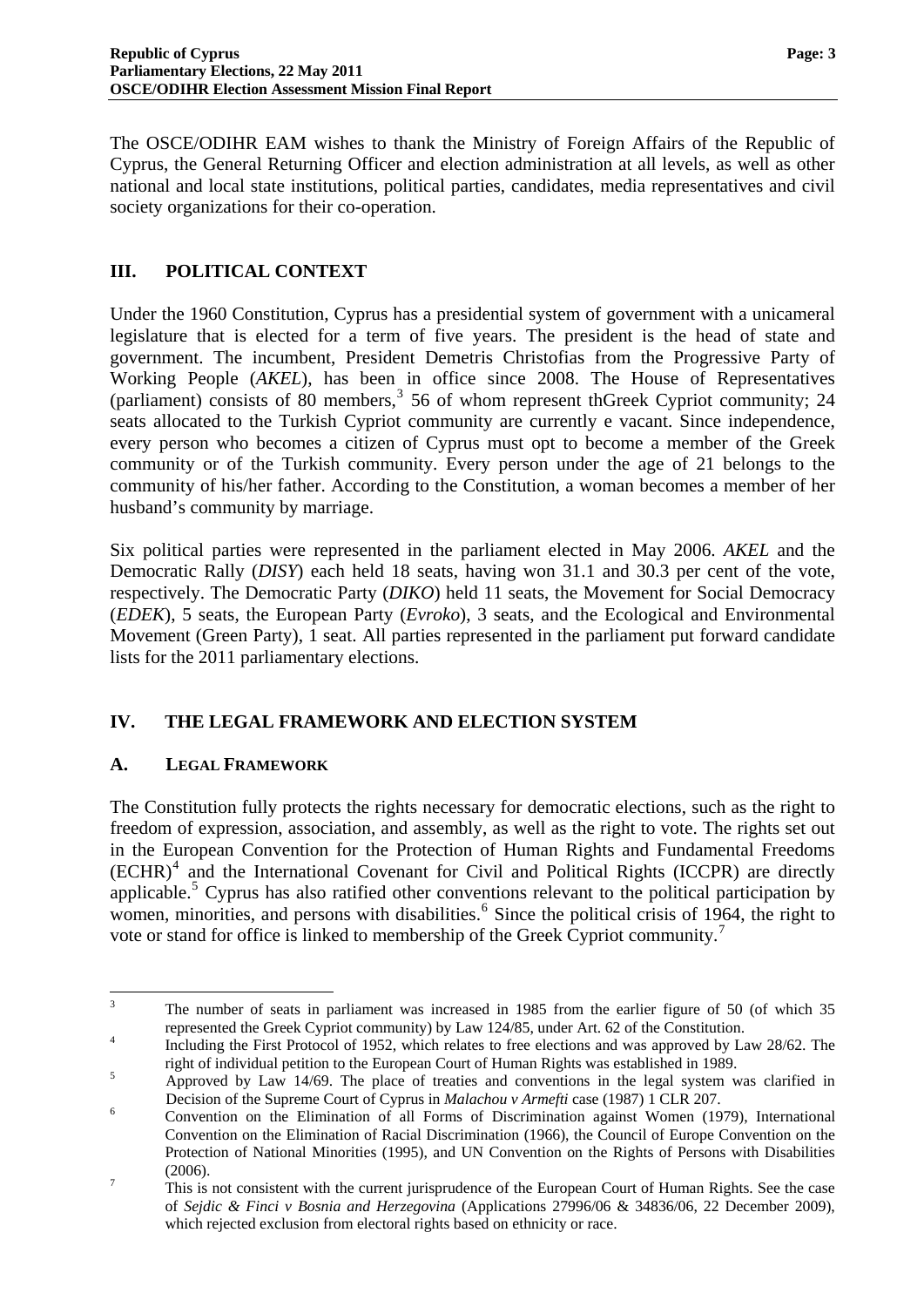The OSCE/ODIHR EAM wishes to thank the Ministry of Foreign Affairs of the Republic of Cyprus, the General Returning Officer and election administration at all levels, as well as other national and local state institutions, political parties, candidates, media representatives and civil society organizations for their co-operation.

#### <span id="page-4-0"></span>**III. POLITICAL CONTEXT**

Under the 1960 Constitution, Cyprus has a presidential system of government with a unicameral legislature that is elected for a term of five years. The president is the head of state and government. The incumbent, President Demetris Christofias from the Progressive Party of Working People (*AKEL*), has been in office since 2008. The House of Representatives (parliament) consists of 80 members,<sup>[3](#page-3-2)</sup> 56 of whom represent thGreek Cypriot community; 24 seats allocated to the Turkish Cypriot community are currently e vacant. Since independence, every person who becomes a citizen of Cyprus must opt to become a member of the Greek community or of the Turkish community. Every person under the age of 21 belongs to the community of his/her father. According to the Constitution, a woman becomes a member of her husband's community by marriage.

Six political parties were represented in the parliament elected in May 2006. *AKEL* and the Democratic Rally (*DISY*) each held 18 seats, having won 31.1 and 30.3 per cent of the vote, respectively. The Democratic Party (*DIKO*) held 11 seats, the Movement for Social Democracy (*EDEK*), 5 seats, the European Party (*Evroko*), 3 seats, and the Ecological and Environmental Movement (Green Party), 1 seat. All parties represented in the parliament put forward candidate lists for the 2011 parliamentary elections.

#### <span id="page-4-1"></span>**IV. THE LEGAL FRAMEWORK AND ELECTION SYSTEM**

#### <span id="page-4-2"></span>**A. LEGAL FRAMEWORK**

The Constitution fully protects the rights necessary for democratic elections, such as the right to freedom of expression, association, and assembly, as well as the right to vote. The rights set out in the European Convention for the Protection of Human Rights and Fundamental Freedoms (ECHR)<sup>[4](#page-4-3)</sup> and the International Covenant for Civil and Political Rights (ICCPR) are directly applicable.<sup>[5](#page-4-4)</sup> Cyprus has also ratified other conventions relevant to the political participation by women, minorities, and persons with disabilities.<sup>[6](#page-4-5)</sup> Since the political crisis of 1964, the right to vote or stand for office is linked to membership of the Greek Cypriot community.[7](#page-4-6)

<span id="page-4-7"></span> $\frac{1}{3}$  The number of seats in parliament was increased in 1985 from the earlier figure of 50 (of which 35 represented the Greek Cypriot community) by Law 124/85, under Art. 62 of the Constitution.

<span id="page-4-3"></span>Including the First Protocol of 1952, which relates to free elections and was approved by Law 28/62. The right of individual petition to the European Court of Human Rights was established in 1989.

<span id="page-4-4"></span>Approved by Law 14/69. The place of treaties and conventions in the legal system was clarified in Decision of the Supreme Court of Cyprus in *Malachou v Armefti* case (1987) 1 CLR 207. 6

<span id="page-4-5"></span>Convention on the Elimination of all Forms of Discrimination against Women (1979), International Convention on the Elimination of Racial Discrimination (1966), the Council of Europe Convention on the Protection of National Minorities (1995), and UN Convention on the Rights of Persons with Disabilities  $(2006).$ 

<span id="page-4-6"></span>This is not consistent with the current jurisprudence of the European Court of Human Rights. See the case of *Sejdic & Finci v Bosnia and Herzegovina* (Applications 27996/06 & 34836/06, 22 December 2009), which rejected exclusion from electoral rights based on ethnicity or race.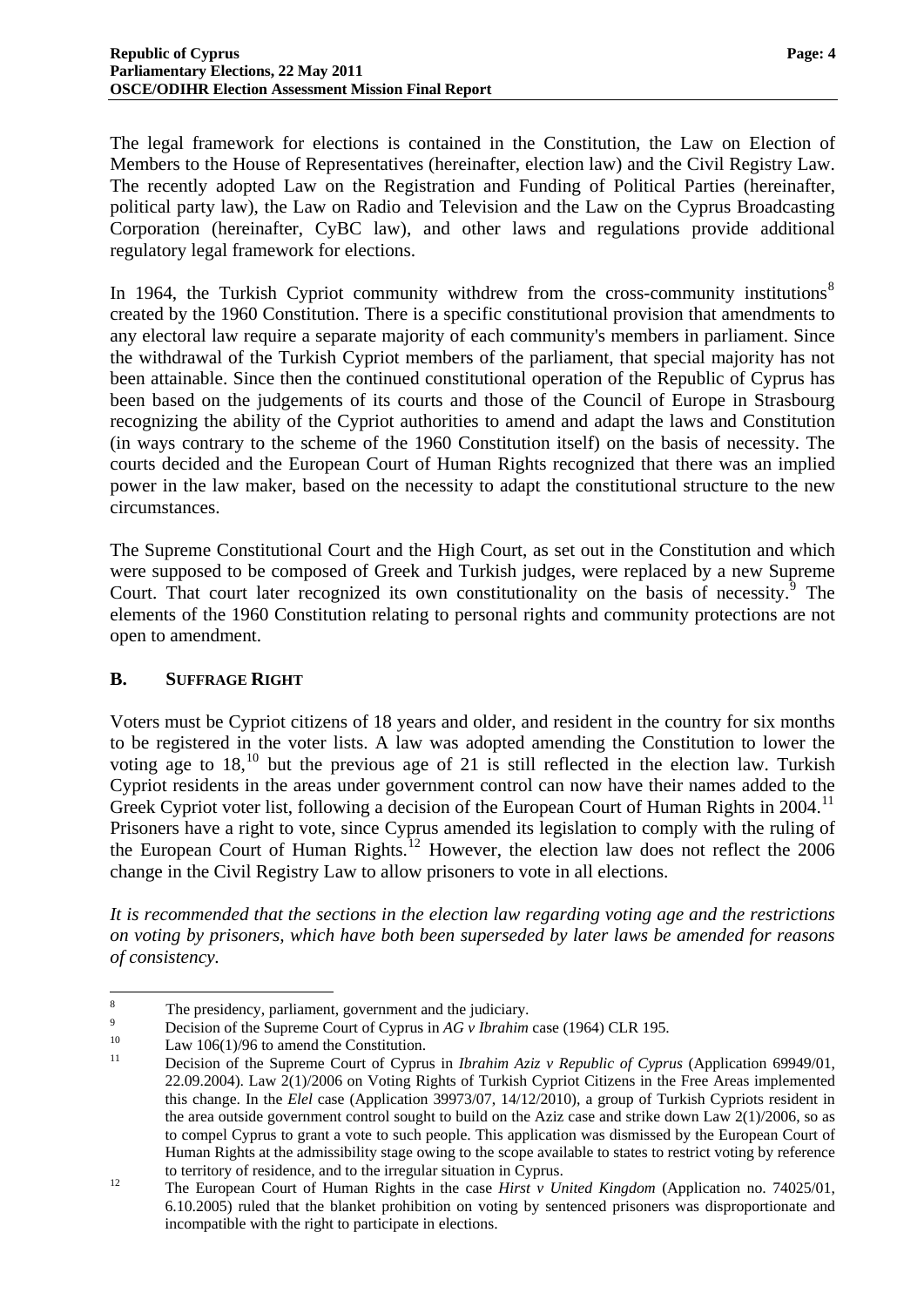The legal framework for elections is contained in the Constitution, the Law on Election of Members to the House of Representatives (hereinafter, election law) and the Civil Registry Law. The recently adopted Law on the Registration and Funding of Political Parties (hereinafter, political party law), the Law on Radio and Television and the Law on the Cyprus Broadcasting Corporation (hereinafter, CyBC law), and other laws and regulations provide additional regulatory legal framework for elections.

In 1964, the Turkish Cypriot community withdrew from the cross-community institutions<sup>[8](#page-4-7)</sup> created by the 1960 Constitution. There is a specific constitutional provision that amendments to any electoral law require a separate majority of each community's members in parliament. Since the withdrawal of the Turkish Cypriot members of the parliament, that special majority has not been attainable. Since then the continued constitutional operation of the Republic of Cyprus has been based on the judgements of its courts and those of the Council of Europe in Strasbourg recognizing the ability of the Cypriot authorities to amend and adapt the laws and Constitution (in ways contrary to the scheme of the 1960 Constitution itself) on the basis of necessity. The courts decided and the European Court of Human Rights recognized that there was an implied power in the law maker, based on the necessity to adapt the constitutional structure to the new circumstances.

The Supreme Constitutional Court and the High Court, as set out in the Constitution and which were supposed to be composed of Greek and Turkish judges, were replaced by a new Supreme Court. That court later recognized its own constitutionality on the basis of necessity. $9$  The elements of the 1960 Constitution relating to personal rights and community protections are not open to amendment.

#### <span id="page-5-0"></span>**B. SUFFRAGE RIGHT**

Voters must be Cypriot citizens of 18 years and older, and resident in the country for six months to be registered in the voter lists. A law was adopted amending the Constitution to lower the voting age to  $18<sup>10</sup>$  $18<sup>10</sup>$  $18<sup>10</sup>$  but the previous age of 21 is still reflected in the election law. Turkish Cypriot residents in the areas under government control can now have their names added to the Greek Cypriot voter list, following a decision of the European Court of Human Rights in 2004.<sup>[11](#page-5-3)</sup> Prisoners have a right to vote, since Cyprus amended its legislation to comply with the ruling of the European Court of Human Rights.[12](#page-5-4) However, the election law does not reflect the 2006 change in the Civil Registry Law to allow prisoners to vote in all elections.

*It is recommended that the sections in the election law regarding voting age and the restrictions on voting by prisoners, which have both been superseded by later laws be amended for reasons of consistency.* 

 $\frac{1}{8}$  The presidency, parliament, government and the judiciary. 9

<span id="page-5-1"></span>Decision of the Supreme Court of Cyprus in *AG v Ibrahim* case (1964) CLR 195.<br>
Law 106(1)/96 to amend the Constitution.<br>
Decision of the Supreme Court of Cyprus in *Ibrahim Aziz v Banyhlia of Cyprus* 

<span id="page-5-2"></span>

<span id="page-5-5"></span><span id="page-5-3"></span><sup>11</sup> Decision of the Supreme Court of Cyprus in *Ibrahim Aziz v Republic of Cyprus* (Application 69949/01, 22.09.2004). Law 2(1)/2006 on Voting Rights of Turkish Cypriot Citizens in the Free Areas implemented this change. In the *Elel* case (Application 39973/07, 14/12/2010), a group of Turkish Cypriots resident in the area outside government control sought to build on the Aziz case and strike down Law 2(1)/2006, so as to compel Cyprus to grant a vote to such people. This application was dismissed by the European Court of Human Rights at the admissibility stage owing to the scope available to states to restrict voting by reference

<span id="page-5-4"></span>to territory of residence, and to the irregular situation in Cyprus.<br><sup>12</sup> The European Court of Human Rights in the case *Hirst v United Kingdom* (Application no. 74025/01, 6.10.2005) ruled that the blanket prohibition on voting by sentenced prisoners was disproportionate and incompatible with the right to participate in elections.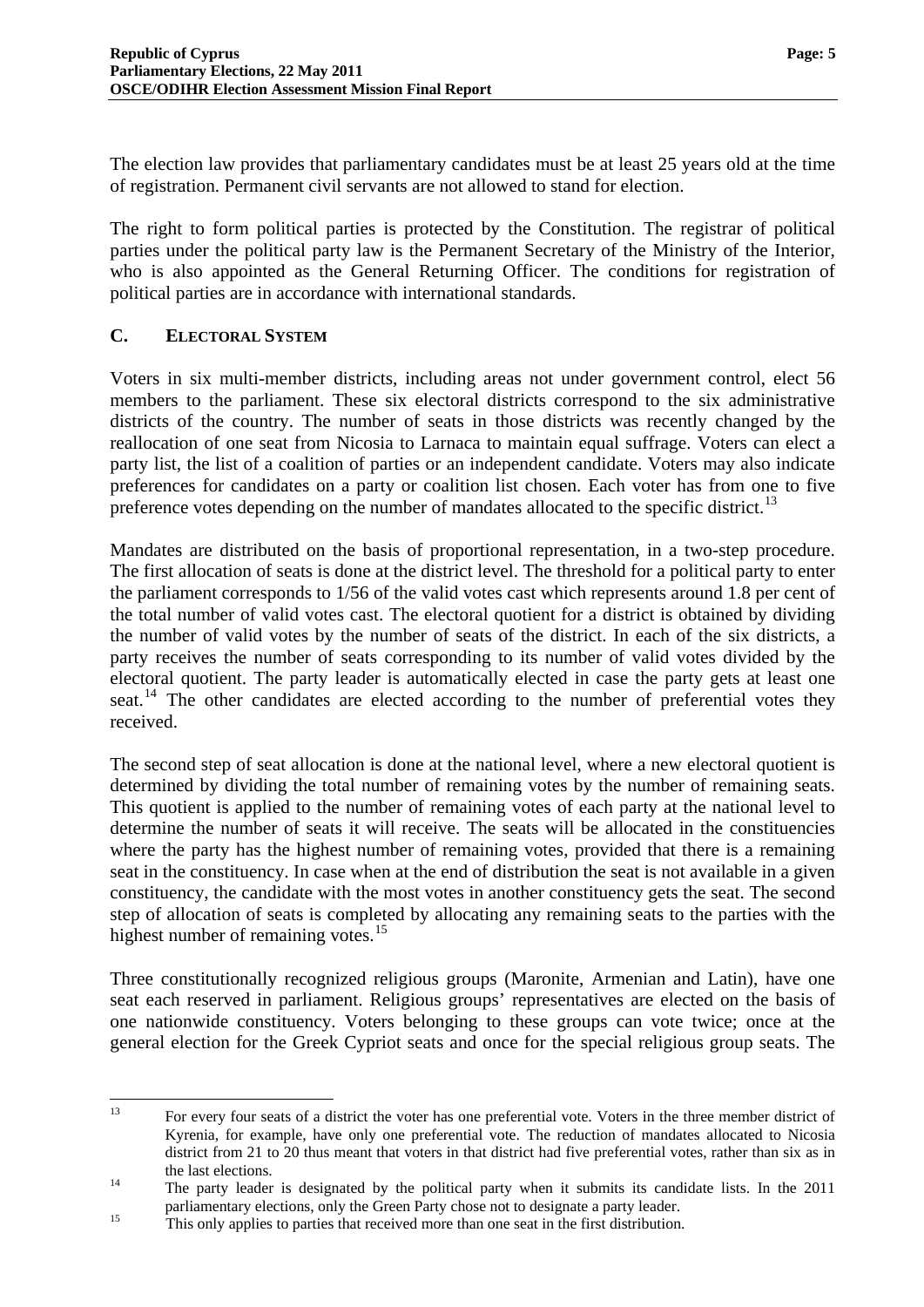The election law provides that parliamentary candidates must be at least 25 years old at the time of registration. Permanent civil servants are not allowed to stand for election.

The right to form political parties is protected by the Constitution. The registrar of political parties under the political party law is the Permanent Secretary of the Ministry of the Interior, who is also appointed as the General Returning Officer. The conditions for registration of political parties are in accordance with international standards.

#### <span id="page-6-0"></span>**C. ELECTORAL SYSTEM**

Voters in six multi-member districts, including areas not under government control, elect 56 members to the parliament. These six electoral districts correspond to the six administrative districts of the country. The number of seats in those districts was recently changed by the reallocation of one seat from Nicosia to Larnaca to maintain equal suffrage. Voters can elect a party list, the list of a coalition of parties or an independent candidate. Voters may also indicate preferences for candidates on a party or coalition list chosen. Each voter has from one to five preference votes depending on the number of mandates allocated to the specific district.<sup>[13](#page-5-5)</sup>

Mandates are distributed on the basis of proportional representation, in a two-step procedure. The first allocation of seats is done at the district level. The threshold for a political party to enter the parliament corresponds to 1/56 of the valid votes cast which represents around 1.8 per cent of the total number of valid votes cast. The electoral quotient for a district is obtained by dividing the number of valid votes by the number of seats of the district. In each of the six districts, a party receives the number of seats corresponding to its number of valid votes divided by the electoral quotient. The party leader is automatically elected in case the party gets at least one seat.<sup>[14](#page-6-1)</sup> The other candidates are elected according to the number of preferential votes they received.

The second step of seat allocation is done at the national level, where a new electoral quotient is determined by dividing the total number of remaining votes by the number of remaining seats. This quotient is applied to the number of remaining votes of each party at the national level to determine the number of seats it will receive. The seats will be allocated in the constituencies where the party has the highest number of remaining votes, provided that there is a remaining seat in the constituency. In case when at the end of distribution the seat is not available in a given constituency, the candidate with the most votes in another constituency gets the seat. The second step of allocation of seats is completed by allocating any remaining seats to the parties with the highest number of remaining votes.<sup>[15](#page-6-2)</sup>

Three constitutionally recognized religious groups (Maronite, Armenian and Latin), have one seat each reserved in parliament. Religious groups' representatives are elected on the basis of one nationwide constituency. Voters belonging to these groups can vote twice; once at the general election for the Greek Cypriot seats and once for the special religious group seats. The

 $13$ 13 For every four seats of a district the voter has one preferential vote. Voters in the three member district of Kyrenia, for example, have only one preferential vote. The reduction of mandates allocated to Nicosia district from 21 to 20 thus meant that voters in that district had five preferential votes, rather than six as in the last elections.<br>The party leader is designated by the political party when it submits its candidate lists. In the 2011

<span id="page-6-3"></span><span id="page-6-1"></span>parliamentary elections, only the Green Party chose not to designate a party leader.<br>This only applies to parties that received more than one seat in the first distribution.

<span id="page-6-2"></span>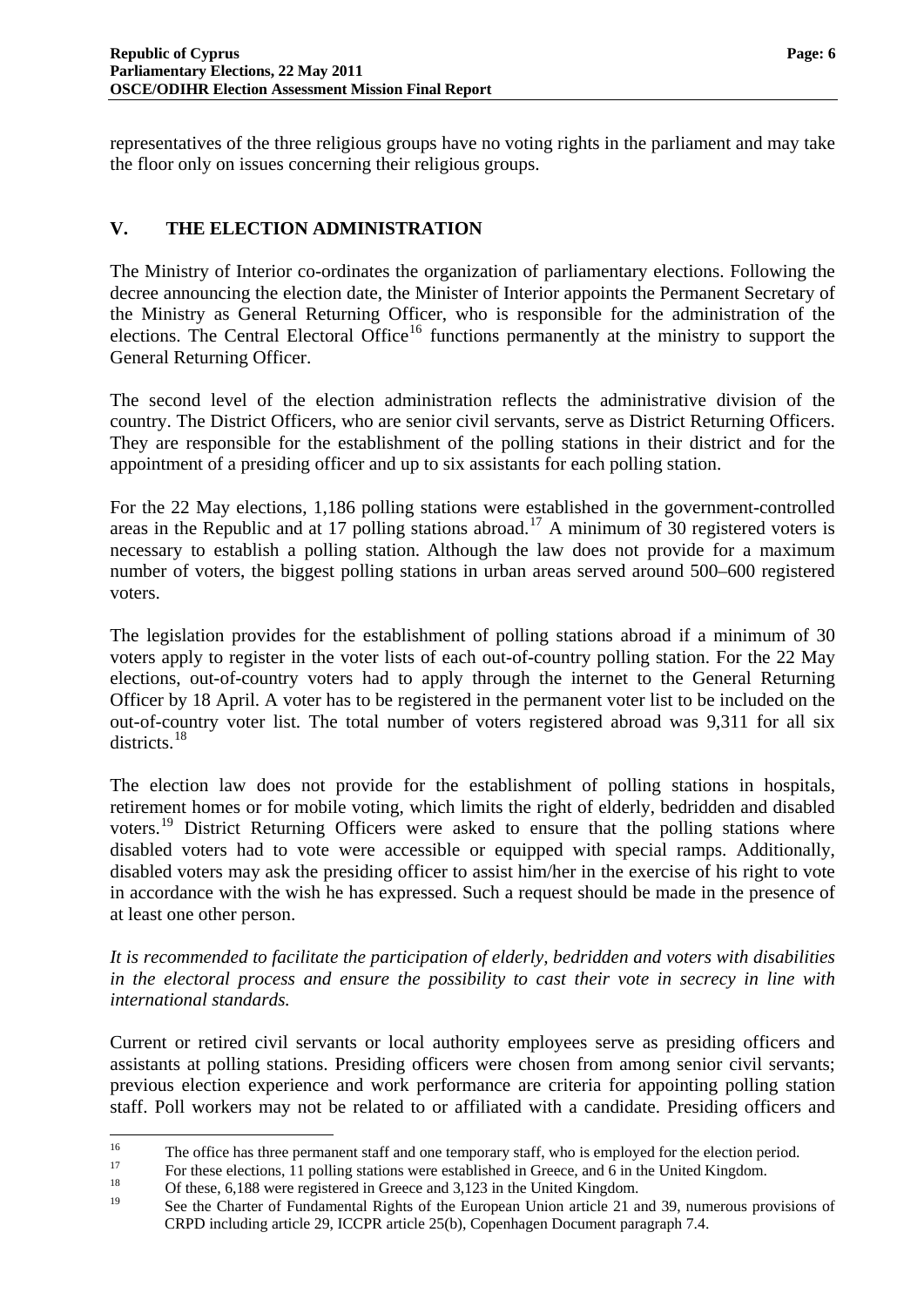representatives of the three religious groups have no voting rights in the parliament and may take the floor only on issues concerning their religious groups.

#### <span id="page-7-0"></span>**V. THE ELECTION ADMINISTRATION**

The Ministry of Interior co-ordinates the organization of parliamentary elections. Following the decree announcing the election date, the Minister of Interior appoints the Permanent Secretary of the Ministry as General Returning Officer, who is responsible for the administration of the elections. The Central Electoral Office<sup>[16](#page-6-3)</sup> functions permanently at the ministry to support the General Returning Officer.

The second level of the election administration reflects the administrative division of the country. The District Officers, who are senior civil servants, serve as District Returning Officers. They are responsible for the establishment of the polling stations in their district and for the appointment of a presiding officer and up to six assistants for each polling station.

For the 22 May elections, 1,186 polling stations were established in the government-controlled areas in the Republic and at [17](#page-7-1) polling stations abroad.<sup>17</sup> A minimum of 30 registered voters is necessary to establish a polling station. Although the law does not provide for a maximum number of voters, the biggest polling stations in urban areas served around 500–600 registered voters.

The legislation provides for the establishment of polling stations abroad if a minimum of 30 voters apply to register in the voter lists of each out-of-country polling station. For the 22 May elections, out-of-country voters had to apply through the internet to the General Returning Officer by 18 April. A voter has to be registered in the permanent voter list to be included on the out-of-country voter list. The total number of voters registered abroad was 9,311 for all six districts.<sup>[18](#page-7-2)</sup>

at least one other person. The election law does not provide for the establishment of polling stations in hospitals, retirement homes or for mobile voting, which limits the right of elderly, bedridden and disabled voters.<sup>[19](#page-7-3)</sup> District Returning Officers were asked to ensure that the polling stations where disabled voters had to vote were accessible or equipped with special ramps. Additionally, disabled voters may ask the presiding officer to assist him/her in the exercise of his right to vote in accordance with the wish he has expressed. Such a request should be made in the presence of

*It is recommended to facilitate the participation of elderly, bedridden and voters with disabilities in the electoral process and ensure the possibility to cast their vote in secrecy in line with international standards.* 

<span id="page-7-4"></span>Current or retired civil servants or local authority employees serve as presiding officers and assistants at polling stations. Presiding officers were chosen from among senior civil servants; previous election experience and work performance are criteria for appointing polling station staff. Poll workers may not be related to or affiliated with a candidate. Presiding officers and

<span id="page-7-1"></span> $16$ 

<sup>&</sup>lt;sup>16</sup><br>The office has three permanent staff and one temporary staff, who is employed for the election period.<br>For these elections, 11 polling stations were established in Greece, and 6 in the United Kingdom.<br>Of these, 6,188

<span id="page-7-3"></span><span id="page-7-2"></span>

See the Charter of Fundamental Rights of the European Union article 21 and 39, numerous provisions of CRPD including article 29, ICCPR article 25(b), Copenhagen Document paragraph 7.4.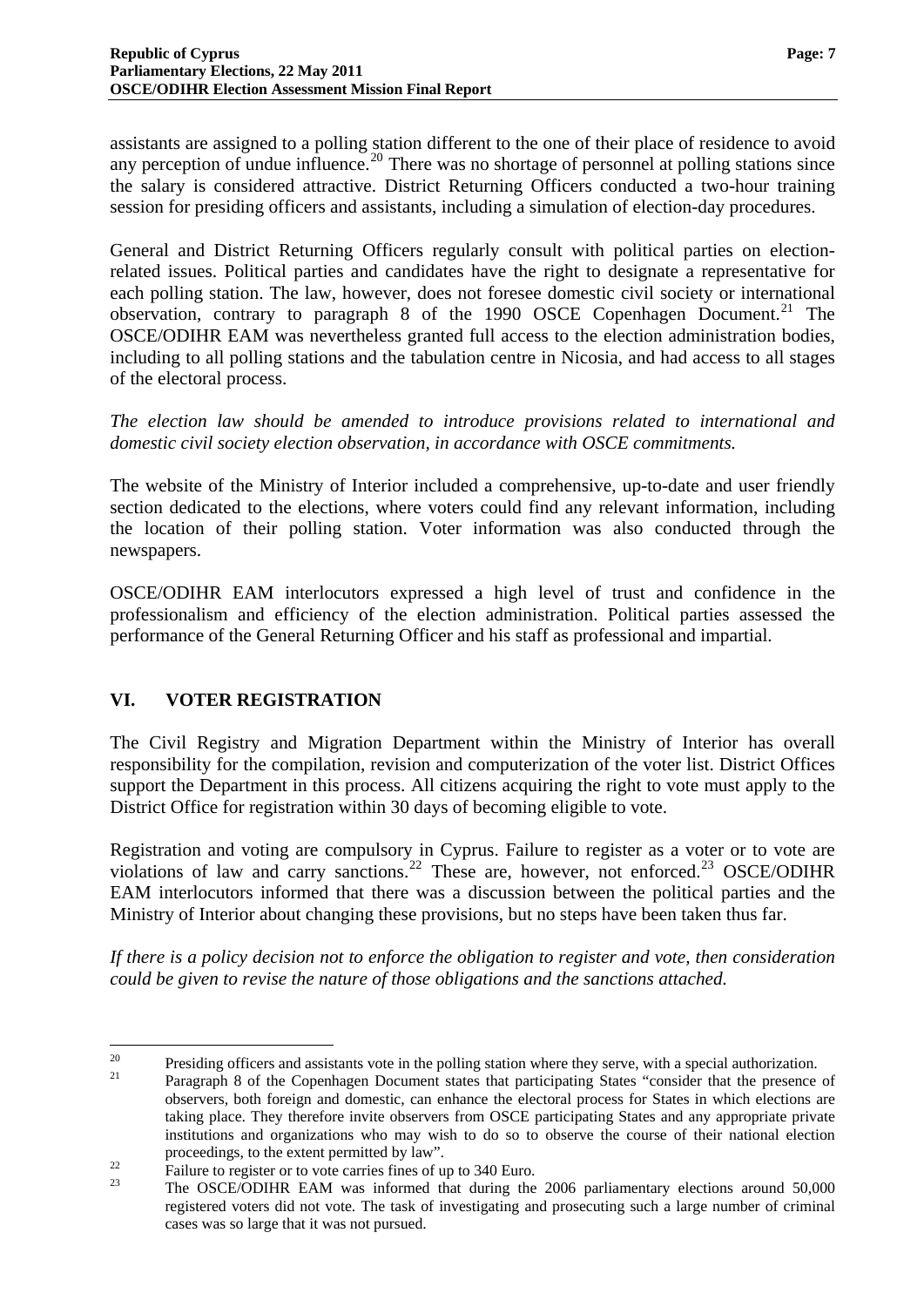assistants are assigned to a polling station different to the one of their place of residence to avoid any perception of undue influence.<sup>[20](#page-7-4)</sup> There was no shortage of personnel at polling stations since the salary is considered attractive. District Returning Officers conducted a two-hour training session for presiding officers and assistants, including a simulation of election-day procedures.

General and District Returning Officers regularly consult with political parties on electionrelated issues. Political parties and candidates have the right to designate a representative for each polling station. The law, however, does not foresee domestic civil society or international observation, contrary to paragraph 8 of the 1990 OSCE Copenhagen Document.<sup>[21](#page-8-1)</sup> The OSCE/ODIHR EAM was nevertheless granted full access to the election administration bodies, including to all polling stations and the tabulation centre in Nicosia, and had access to all stages of the electoral process.

*The election law should be amended to introduce provisions related to international and domestic civil society election observation, in accordance with OSCE commitments.* 

The website of the Ministry of Interior included a comprehensive, up-to-date and user friendly section dedicated to the elections, where voters could find any relevant information, including the location of their polling station. Voter information was also conducted through the newspapers.

OSCE/ODIHR EAM interlocutors expressed a high level of trust and confidence in the professionalism and efficiency of the election administration. Political parties assessed the performance of the General Returning Officer and his staff as professional and impartial.

## <span id="page-8-0"></span>**VI. VOTER REGISTRATION**

The Civil Registry and Migration Department within the Ministry of Interior has overall responsibility for the compilation, revision and computerization of the voter list. District Offices support the Department in this process. All citizens acquiring the right to vote must apply to the District Office for registration within 30 days of becoming eligible to vote.

Ministry of Interior about changing these provisions, but no steps have been taken thus far. Registration and voting are compulsory in Cyprus. Failure to register as a voter or to vote are violations of law and carry sanctions.<sup>[22](#page-8-2)</sup> These are, however, not enforced.<sup>[23](#page-8-3)</sup> OSCE/ODIHR EAM interlocutors informed that there was a discussion between the political parties and the

*If there is a policy decision not to enforce the obligation to register and vote, then consideration could be given to revise the nature of those obligations and the sanctions attached.*

<span id="page-8-4"></span><span id="page-8-1"></span><sup>20</sup> <sup>20</sup> Presiding officers and assistants vote in the polling station where they serve, with a special authorization.<br><sup>21</sup> Paragraph 8 of the Copenhagen Document states that participating States "consider that the presence o

observers, both foreign and domestic, can enhance the electoral process for States in which elections are taking place. They therefore invite observers from OSCE participating States and any appropriate private institutions and organizations who may wish to do so to observe the course of their national election

<span id="page-8-2"></span>proceedings, to the extent permitted by law".<br>Failure to register or to vote carries fines of up to 340 Euro.

<span id="page-8-3"></span>The OSCE/ODIHR EAM was informed that during the 2006 parliamentary elections around 50,000 registered voters did not vote. The task of investigating and prosecuting such a large number of criminal cases was so large that it was not pursued.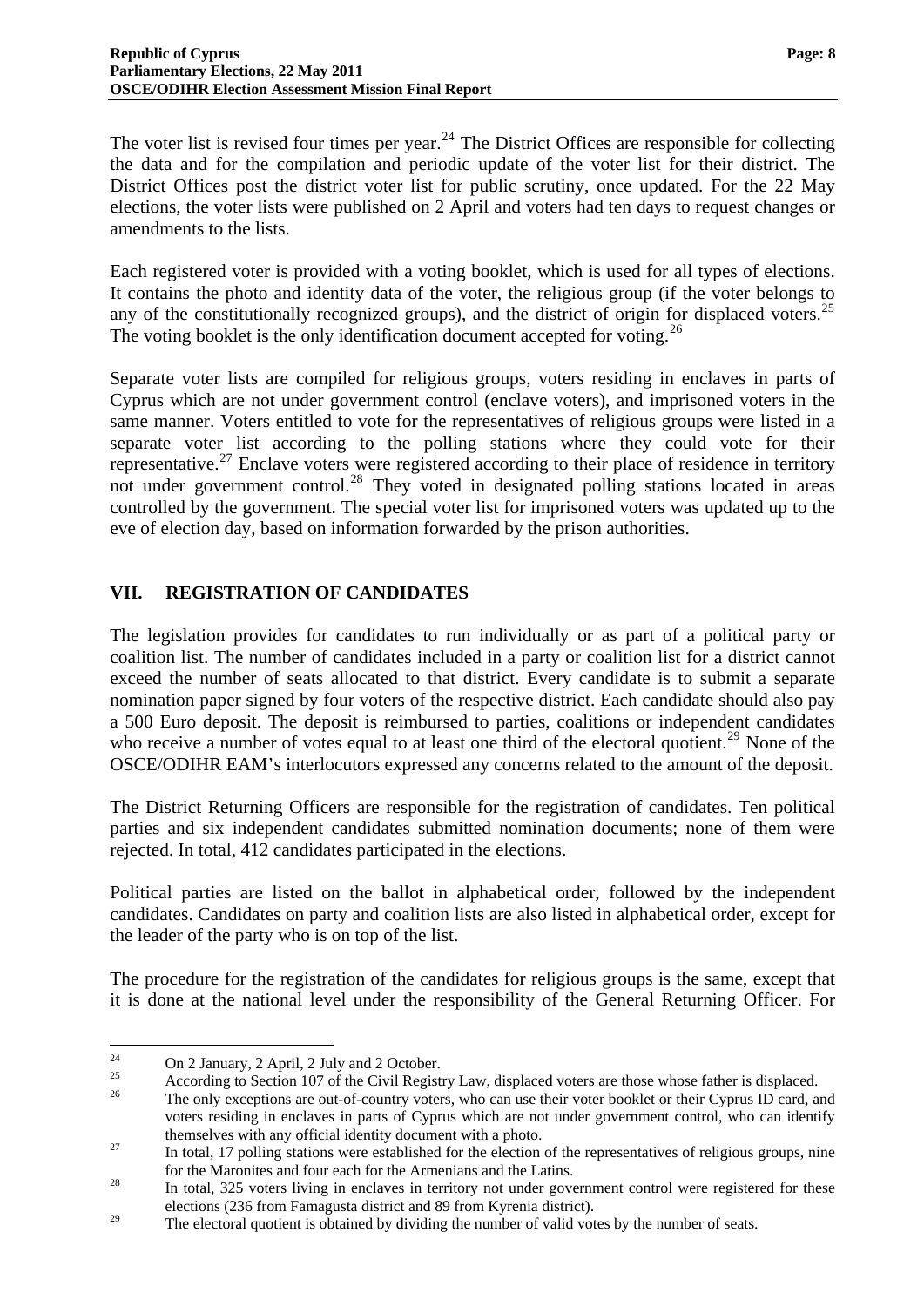The voter list is revised four times per year.<sup>[24](#page-8-4)</sup> The District Offices are responsible for collecting the data and for the compilation and periodic update of the voter list for their district. The District Offices post the district voter list for public scrutiny, once updated. For the 22 May elections, the voter lists were published on 2 April and voters had ten days to request changes or amendments to the lists.

Each registered voter is provided with a voting booklet, which is used for all types of elections. It contains the photo and identity data of the voter, the religious group (if the voter belongs to any of the constitutionally recognized groups), and the district of origin for displaced voters.<sup>[25](#page-9-1)</sup> The voting booklet is the only identification document accepted for voting.<sup>[26](#page-9-2)</sup>

Separate voter lists are compiled for religious groups, voters residing in enclaves in parts of Cyprus which are not under government control (enclave voters), and imprisoned voters in the same manner. Voters entitled to vote for the representatives of religious groups were listed in a separate voter list according to the polling stations where they could vote for their representative.<sup>[27](#page-9-3)</sup> Enclave voters were registered according to their place of residence in territory not under government control.<sup>[28](#page-9-4)</sup> They voted in designated polling stations located in areas controlled by the government. The special voter list for imprisoned voters was updated up to the eve of election day, based on information forwarded by the prison authorities.

#### <span id="page-9-0"></span>**VII. REGISTRATION OF CANDIDATES**

The legislation provides for candidates to run individually or as part of a political party or coalition list. The number of candidates included in a party or coalition list for a district cannot exceed the number of seats allocated to that district. Every candidate is to submit a separate nomination paper signed by four voters of the respective district. Each candidate should also pay a 500 Euro deposit. The deposit is reimbursed to parties, coalitions or independent candidates who receive a number of votes equal to at least one third of the electoral quotient.<sup>[29](#page-9-5)</sup> None of the OSCE/ODIHR EAM's interlocutors expressed any concerns related to the amount of the deposit.

The District Returning Officers are responsible for the registration of candidates. Ten political parties and six independent candidates submitted nomination documents; none of them were rejected. In total, 412 candidates participated in the elections.

Political parties are listed on the ballot in alphabetical order, followed by the independent candidates. Candidates on party and coalition lists are also listed in alphabetical order, except for the leader of the party who is on top of the list.

The procedure for the registration of the candidates for religious groups is the same, except that it is done at the national level under the responsibility of the General Returning Officer. For

<sup>24</sup> <sup>24</sup> On 2 January, 2 April, 2 July and 2 October.

<span id="page-9-1"></span><sup>&</sup>lt;sup>25</sup> According to Section 107 of the Civil Registry Law, displaced voters are those whose father is displaced.

<span id="page-9-2"></span>The only exceptions are out-of-country voters, who can use their voter booklet or their Cyprus ID card, and voters residing in enclaves in parts of Cyprus which are not under government control, who can identify themselves with any official identity document with a photo.<br><sup>27</sup> In total, 17 polling stations were established for the election of the representatives of religious groups, nine

<span id="page-9-6"></span><span id="page-9-3"></span>for the Maronites and four each for the Armenians and the Latins.<br><sup>28</sup> In total, 325 voters living in enclaves in territory not under government control were registered for these

<span id="page-9-4"></span>elections (236 from Famagusta district and 89 from Kyrenia district).

<span id="page-9-5"></span><sup>&</sup>lt;sup>29</sup> The electoral quotient is obtained by dividing the number of valid votes by the number of seats.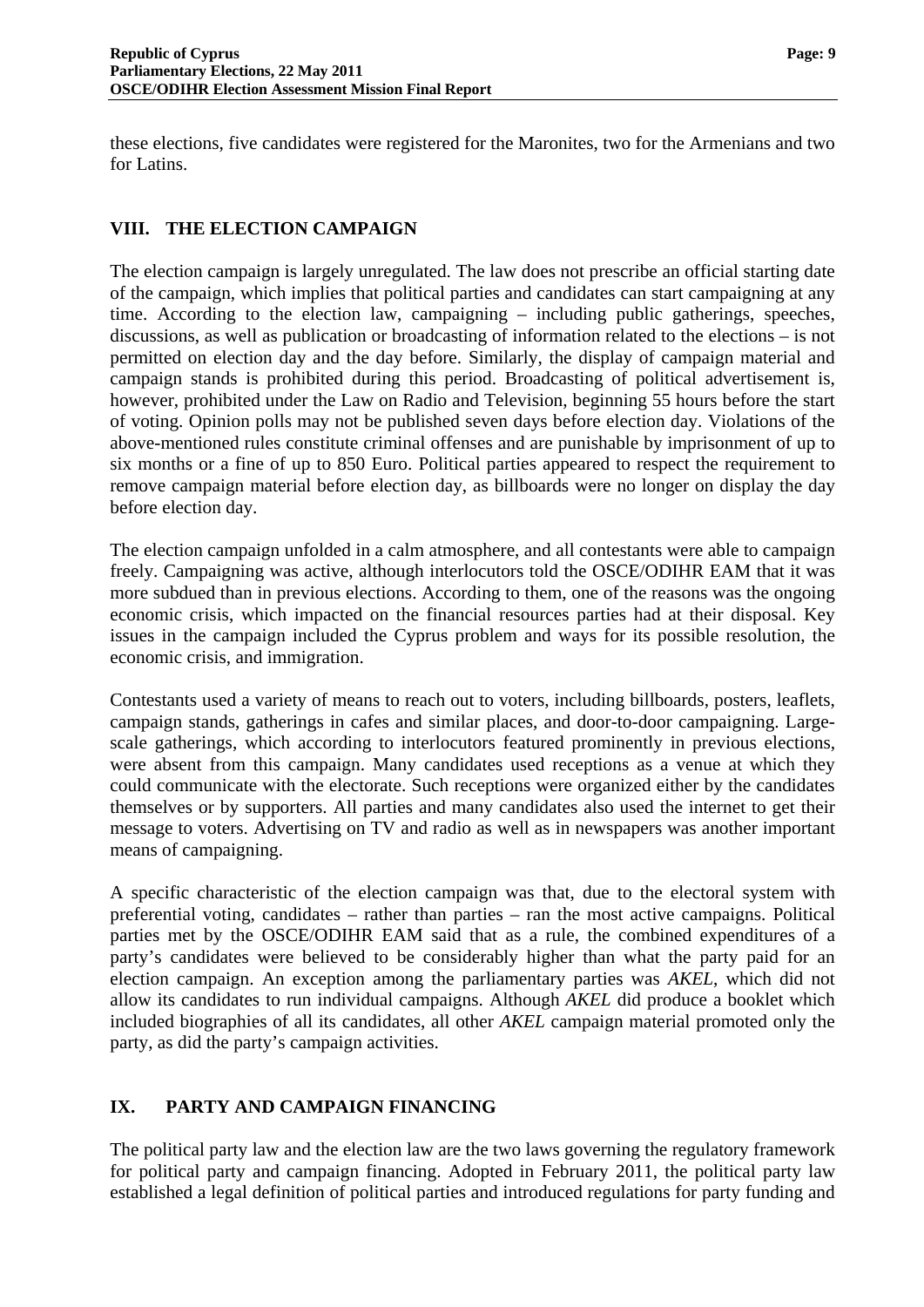these elections, five candidates were registered for the Maronites, two for the Armenians and two for Latins.

#### <span id="page-10-0"></span>**VIII. THE ELECTION CAMPAIGN**

The election campaign is largely unregulated. The law does not prescribe an official starting date of the campaign, which implies that political parties and candidates can start campaigning at any time. According to the election law, campaigning – including public gatherings, speeches, discussions, as well as publication or broadcasting of information related to the elections – is not permitted on election day and the day before. Similarly, the display of campaign material and campaign stands is prohibited during this period. Broadcasting of political advertisement is, however, prohibited under the Law on Radio and Television, beginning 55 hours before the start of voting. Opinion polls may not be published seven days before election day. Violations of the above-mentioned rules constitute criminal offenses and are punishable by imprisonment of up to six months or a fine of up to 850 Euro. Political parties appeared to respect the requirement to remove campaign material before election day, as billboards were no longer on display the day before election day.

The election campaign unfolded in a calm atmosphere, and all contestants were able to campaign freely. Campaigning was active, although interlocutors told the OSCE/ODIHR EAM that it was more subdued than in previous elections. According to them, one of the reasons was the ongoing economic crisis, which impacted on the financial resources parties had at their disposal. Key issues in the campaign included the Cyprus problem and ways for its possible resolution, the economic crisis, and immigration.

Contestants used a variety of means to reach out to voters, including billboards, posters, leaflets, campaign stands, gatherings in cafes and similar places, and door-to-door campaigning. Largescale gatherings, which according to interlocutors featured prominently in previous elections, were absent from this campaign. Many candidates used receptions as a venue at which they could communicate with the electorate. Such receptions were organized either by the candidates themselves or by supporters. All parties and many candidates also used the internet to get their message to voters. Advertising on TV and radio as well as in newspapers was another important means of campaigning.

A specific characteristic of the election campaign was that, due to the electoral system with preferential voting, candidates – rather than parties – ran the most active campaigns. Political parties met by the OSCE/ODIHR EAM said that as a rule, the combined expenditures of a party's candidates were believed to be considerably higher than what the party paid for an election campaign. An exception among the parliamentary parties was *AKEL*, which did not allow its candidates to run individual campaigns. Although *AKEL* did produce a booklet which included biographies of all its candidates, all other *AKEL* campaign material promoted only the party, as did the party's campaign activities.

## <span id="page-10-1"></span>**IX. PARTY AND CAMPAIGN FINANCING**

The political party law and the election law are the two laws governing the regulatory framework for political party and campaign financing. Adopted in February 2011, the political party law established a legal definition of political parties and introduced regulations for party funding and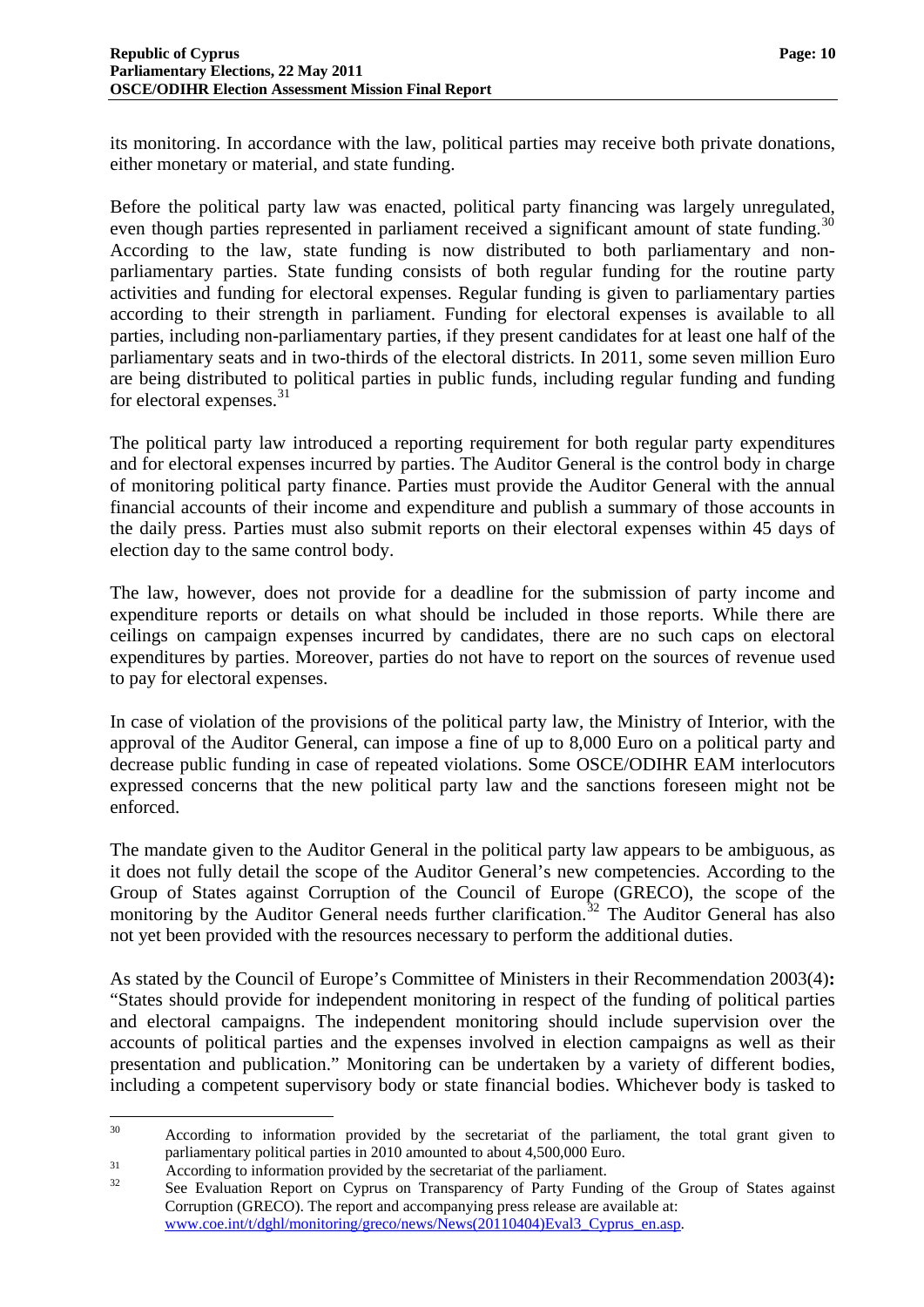its monitoring. In accordance with the law, political parties may receive both private donations, either monetary or material, and state funding.

Before the political party law was enacted, political party financing was largely unregulated, even though parties represented in parliament received a significant amount of state funding.<sup>[30](#page-9-6)</sup> According to the law, state funding is now distributed to both parliamentary and nonparliamentary parties. State funding consists of both regular funding for the routine party activities and funding for electoral expenses. Regular funding is given to parliamentary parties according to their strength in parliament. Funding for electoral expenses is available to all parties, including non-parliamentary parties, if they present candidates for at least one half of the parliamentary seats and in two-thirds of the electoral districts. In 2011, some seven million Euro are being distributed to political parties in public funds, including regular funding and funding for electoral expenses. $31$ 

The political party law introduced a reporting requirement for both regular party expenditures and for electoral expenses incurred by parties. The Auditor General is the control body in charge of monitoring political party finance. Parties must provide the Auditor General with the annual financial accounts of their income and expenditure and publish a summary of those accounts in the daily press. Parties must also submit reports on their electoral expenses within 45 days of election day to the same control body.

The law, however, does not provide for a deadline for the submission of party income and expenditure reports or details on what should be included in those reports. While there are ceilings on campaign expenses incurred by candidates, there are no such caps on electoral expenditures by parties. Moreover, parties do not have to report on the sources of revenue used to pay for electoral expenses.

In case of violation of the provisions of the political party law, the Ministry of Interior, with the approval of the Auditor General, can impose a fine of up to 8,000 Euro on a political party and decrease public funding in case of repeated violations. Some OSCE/ODIHR EAM interlocutors expressed concerns that the new political party law and the sanctions foreseen might not be enforced.

The mandate given to the Auditor General in the political party law appears to be ambiguous, as it does not fully detail the scope of the Auditor General's new competencies. According to the Group of States against Corruption of the Council of Europe (GRECO), the scope of the monitoring by the Auditor General needs further clarification.<sup>[32](#page-11-1)</sup> The Auditor General has also not yet been provided with the resources necessary to perform the additional duties.

As stated by the Council of Europe's Committee of Ministers in their Recommendation 2003(4)**:**  "States should provide for independent monitoring in respect of the funding of political parties and electoral campaigns. The independent monitoring should include supervision over the accounts of political parties and the expenses involved in election campaigns as well as their presentation and publication." Monitoring can be undertaken by a variety of different bodies, including a competent supervisory body or state financial bodies. Whichever body is tasked to

 $30^{\circ}$ 30 According to information provided by the secretariat of the parliament, the total grant given to parliamentary political parties in 2010 amounted to about 4,500,000 Euro.<br>According to information provided by the secretariat of the parliament.<br>See Evaluation Report on Cyprus on Transparency of Party Funding of the Grou

<span id="page-11-0"></span>

<span id="page-11-1"></span>Corruption (GRECO). The report and accompanying press release are available at: [www.coe.int/t/dghl/monitoring/greco/news/News\(20110404\)Eval3\\_Cyprus\\_en.asp.](http://www.coe.int/t/dghl/monitoring/greco/news/News(20110404)Eval3_Cyprus_en.asp)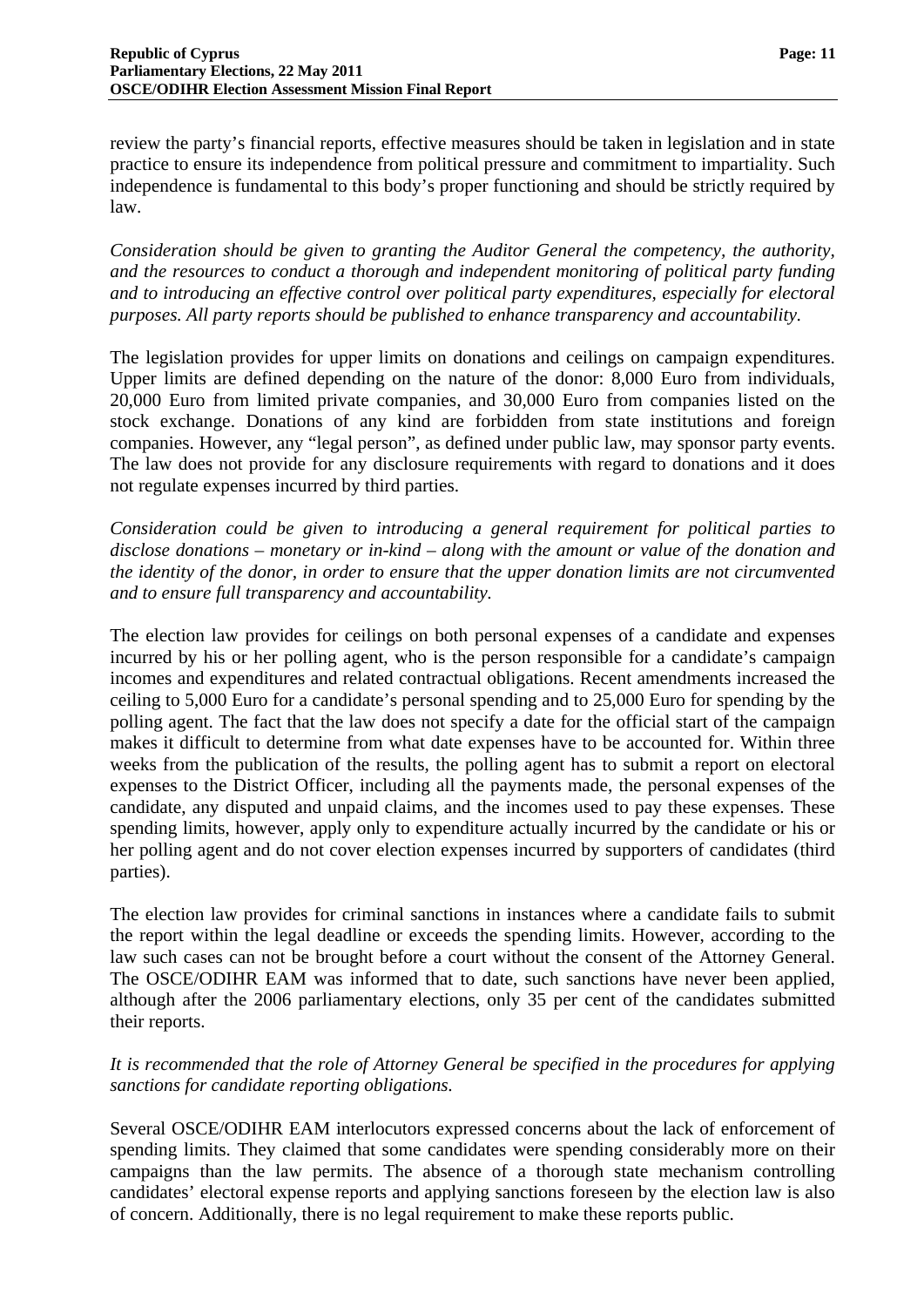review the party's financial reports, effective measures should be taken in legislation and in state practice to ensure its independence from political pressure and commitment to impartiality. Such independence is fundamental to this body's proper functioning and should be strictly required by law.

*Consideration should be given to granting the Auditor General the competency, the authority, and the resources to conduct a thorough and independent monitoring of political party funding and to introducing an effective control over political party expenditures, especially for electoral purposes. All party reports should be published to enhance transparency and accountability.* 

The legislation provides for upper limits on donations and ceilings on campaign expenditures. Upper limits are defined depending on the nature of the donor: 8,000 Euro from individuals, 20,000 Euro from limited private companies, and 30,000 Euro from companies listed on the stock exchange. Donations of any kind are forbidden from state institutions and foreign companies. However, any "legal person", as defined under public law, may sponsor party events. The law does not provide for any disclosure requirements with regard to donations and it does not regulate expenses incurred by third parties.

*Consideration could be given to introducing a general requirement for political parties to disclose donations – monetary or in-kind – along with the amount or value of the donation and the identity of the donor, in order to ensure that the upper donation limits are not circumvented and to ensure full transparency and accountability.* 

The election law provides for ceilings on both personal expenses of a candidate and expenses incurred by his or her polling agent, who is the person responsible for a candidate's campaign incomes and expenditures and related contractual obligations. Recent amendments increased the ceiling to 5,000 Euro for a candidate's personal spending and to 25,000 Euro for spending by the polling agent. The fact that the law does not specify a date for the official start of the campaign makes it difficult to determine from what date expenses have to be accounted for. Within three weeks from the publication of the results, the polling agent has to submit a report on electoral expenses to the District Officer, including all the payments made, the personal expenses of the candidate, any disputed and unpaid claims, and the incomes used to pay these expenses. These spending limits, however, apply only to expenditure actually incurred by the candidate or his or her polling agent and do not cover election expenses incurred by supporters of candidates (third parties).

The election law provides for criminal sanctions in instances where a candidate fails to submit the report within the legal deadline or exceeds the spending limits. However, according to the law such cases can not be brought before a court without the consent of the Attorney General. The OSCE/ODIHR EAM was informed that to date, such sanctions have never been applied, although after the 2006 parliamentary elections, only 35 per cent of the candidates submitted their reports.

#### *It is recommended that the role of Attorney General be specified in the procedures for applying sanctions for candidate reporting obligations.*

Several OSCE/ODIHR EAM interlocutors expressed concerns about the lack of enforcement of spending limits. They claimed that some candidates were spending considerably more on their campaigns than the law permits. The absence of a thorough state mechanism controlling candidates' electoral expense reports and applying sanctions foreseen by the election law is also of concern. Additionally, there is no legal requirement to make these reports public.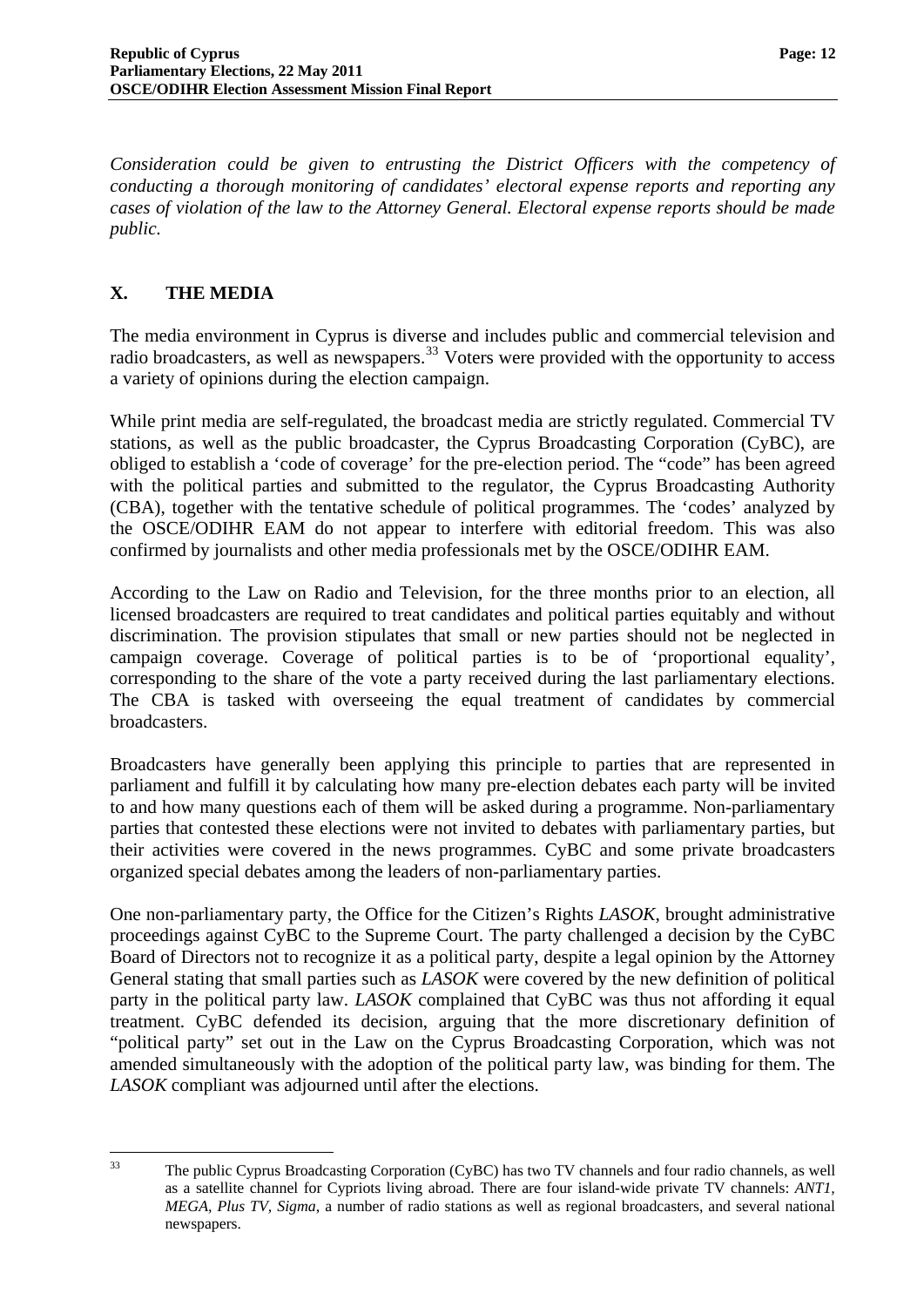*Consideration could be given to entrusting the District Officers with the competency of conducting a thorough monitoring of candidates' electoral expense reports and reporting any cases of violation of the law to the Attorney General. Electoral expense reports should be made public.* 

## <span id="page-13-0"></span>**X. THE MEDIA**

The media environment in Cyprus is diverse and includes public and commercial television and radio broadcasters, as well as newspapers.<sup>[33](#page-11-0)</sup> Voters were provided with the opportunity to access a variety of opinions during the election campaign.

While print media are self-regulated, the broadcast media are strictly regulated. Commercial TV stations, as well as the public broadcaster, the Cyprus Broadcasting Corporation (CyBC), are obliged to establish a 'code of coverage' for the pre-election period. The "code" has been agreed with the political parties and submitted to the regulator, the Cyprus Broadcasting Authority (CBA), together with the tentative schedule of political programmes. The 'codes' analyzed by the OSCE/ODIHR EAM do not appear to interfere with editorial freedom. This was also confirmed by journalists and other media professionals met by the OSCE/ODIHR EAM.

According to the Law on Radio and Television, for the three months prior to an election, all licensed broadcasters are required to treat candidates and political parties equitably and without discrimination. The provision stipulates that small or new parties should not be neglected in campaign coverage. Coverage of political parties is to be of 'proportional equality', corresponding to the share of the vote a party received during the last parliamentary elections. The CBA is tasked with overseeing the equal treatment of candidates by commercial broadcasters.

Broadcasters have generally been applying this principle to parties that are represented in parliament and fulfill it by calculating how many pre-election debates each party will be invited to and how many questions each of them will be asked during a programme. Non-parliamentary parties that contested these elections were not invited to debates with parliamentary parties, but their activities were covered in the news programmes. CyBC and some private broadcasters organized special debates among the leaders of non-parliamentary parties.

One non-parliamentary party, the Office for the Citizen's Rights *LASOK*, brought administrative proceedings against CyBC to the Supreme Court. The party challenged a decision by the CyBC Board of Directors not to recognize it as a political party, despite a legal opinion by the Attorney General stating that small parties such as *LASOK* were covered by the new definition of political party in the political party law. *LASOK* complained that CyBC was thus not affording it equal treatment. CyBC defended its decision, arguing that the more discretionary definition of "political party" set out in the Law on the Cyprus Broadcasting Corporation, which was not amended simultaneously with the adoption of the political party law, was binding for them. The *LASOK* compliant was adjourned until after the elections.

<span id="page-13-1"></span> $33$ 

The public Cyprus Broadcasting Corporation (CyBC) has two TV channels and four radio channels, as well as a satellite channel for Cypriots living abroad. There are four island-wide private TV channels: *ANT1, MEGA, Plus TV, Sigma*, a number of radio stations as well as regional broadcasters, and several national newspapers.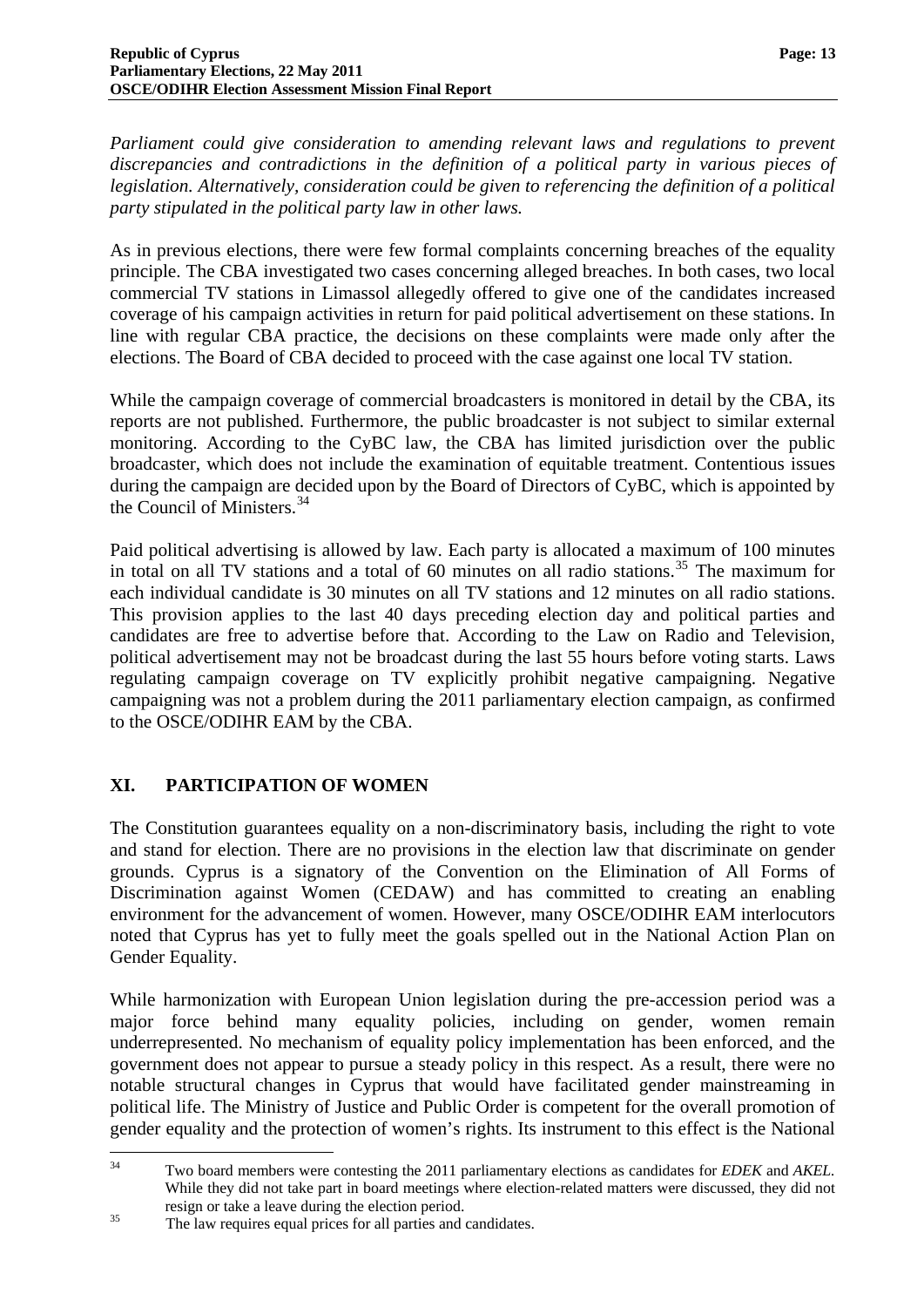*Parliament could give consideration to amending relevant laws and regulations to prevent discrepancies and contradictions in the definition of a political party in various pieces of legislation. Alternatively, consideration could be given to referencing the definition of a political party stipulated in the political party law in other laws.* 

As in previous elections, there were few formal complaints concerning breaches of the equality principle. The CBA investigated two cases concerning alleged breaches. In both cases, two local commercial TV stations in Limassol allegedly offered to give one of the candidates increased coverage of his campaign activities in return for paid political advertisement on these stations. In line with regular CBA practice, the decisions on these complaints were made only after the elections. The Board of CBA decided to proceed with the case against one local TV station.

While the campaign coverage of commercial broadcasters is monitored in detail by the CBA, its reports are not published. Furthermore, the public broadcaster is not subject to similar external monitoring. According to the CyBC law, the CBA has limited jurisdiction over the public broadcaster, which does not include the examination of equitable treatment. Contentious issues during the campaign are decided upon by the Board of Directors of CyBC, which is appointed by the Council of Ministers.[34](#page-13-1)

Paid political advertising is allowed by law. Each party is allocated a maximum of 100 minutes in total on all TV stations and a total of 60 minutes on all radio stations.<sup>[35](#page-14-1)</sup> The maximum for each individual candidate is 30 minutes on all TV stations and 12 minutes on all radio stations. This provision applies to the last 40 days preceding election day and political parties and candidates are free to advertise before that. According to the Law on Radio and Television, political advertisement may not be broadcast during the last 55 hours before voting starts. Laws regulating campaign coverage on TV explicitly prohibit negative campaigning. Negative campaigning was not a problem during the 2011 parliamentary election campaign, as confirmed to the OSCE/ODIHR EAM by the CBA.

# <span id="page-14-0"></span>**XI. PARTICIPATION OF WOMEN**

The Constitution guarantees equality on a non-discriminatory basis, including the right to vote and stand for election. There are no provisions in the election law that discriminate on gender grounds. Cyprus is a signatory of the Convention on the Elimination of All Forms of Discrimination against Women (CEDAW) and has committed to creating an enabling environment for the advancement of women. However, many OSCE/ODIHR EAM interlocutors noted that Cyprus has yet to fully meet the goals spelled out in the National Action Plan on Gender Equality.

While harmonization with European Union legislation during the pre-accession period was a major force behind many equality policies, including on gender, women remain underrepresented. No mechanism of equality policy implementation has been enforced, and the government does not appear to pursue a steady policy in this respect. As a result, there were no notable structural changes in Cyprus that would have facilitated gender mainstreaming in political life. The Ministry of Justice and Public Order is competent for the overall promotion of gender equality and the protection of women's rights. Its instrument to this effect is the National

<span id="page-14-2"></span> $34$ 34 Two board members were contesting the 2011 parliamentary elections as candidates for *EDEK* and *AKEL.* While they did not take part in board meetings where election-related matters were discussed, they did not resign or take a leave during the election period.<br><sup>35</sup> The law requires equal prices for all parties and candidates.

<span id="page-14-1"></span>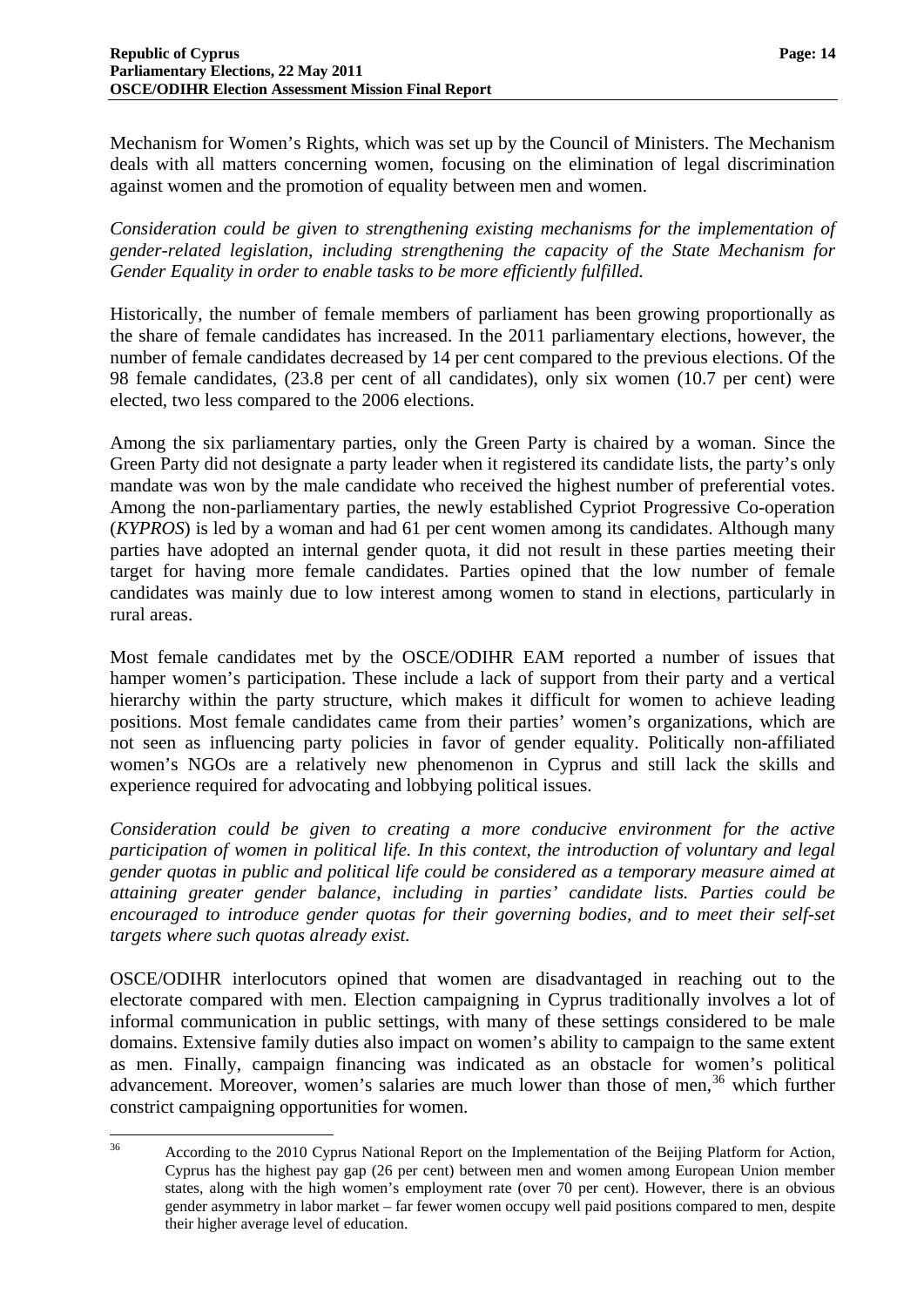Mechanism for Women's Rights, which was set up by the Council of Ministers. The Mechanism deals with all matters concerning women, focusing on the elimination of legal discrimination against women and the promotion of equality between men and women.

*Consideration could be given to strengthening existing mechanisms for the implementation of gender-related legislation, including strengthening the capacity of the State Mechanism for Gender Equality in order to enable tasks to be more efficiently fulfilled.* 

Historically, the number of female members of parliament has been growing proportionally as the share of female candidates has increased. In the 2011 parliamentary elections, however, the number of female candidates decreased by 14 per cent compared to the previous elections. Of the 98 female candidates, (23.8 per cent of all candidates), only six women (10.7 per cent) were elected, two less compared to the 2006 elections.

Among the six parliamentary parties, only the Green Party is chaired by a woman. Since the Green Party did not designate a party leader when it registered its candidate lists, the party's only mandate was won by the male candidate who received the highest number of preferential votes. Among the non-parliamentary parties, the newly established Cypriot Progressive Co-operation (*KYPROS*) is led by a woman and had 61 per cent women among its candidates. Although many parties have adopted an internal gender quota, it did not result in these parties meeting their target for having more female candidates. Parties opined that the low number of female candidates was mainly due to low interest among women to stand in elections, particularly in rural areas.

Most female candidates met by the OSCE/ODIHR EAM reported a number of issues that hamper women's participation. These include a lack of support from their party and a vertical hierarchy within the party structure, which makes it difficult for women to achieve leading positions. Most female candidates came from their parties' women's organizations, which are not seen as influencing party policies in favor of gender equality. Politically non-affiliated women's NGOs are a relatively new phenomenon in Cyprus and still lack the skills and experience required for advocating and lobbying political issues.

*Consideration could be given to creating a more conducive environment for the active participation of women in political life. In this context, the introduction of voluntary and legal gender quotas in public and political life could be considered as a temporary measure aimed at attaining greater gender balance, including in parties' candidate lists. Parties could be encouraged to introduce gender quotas for their governing bodies, and to meet their self-set targets where such quotas already exist.* 

OSCE/ODIHR interlocutors opined that women are disadvantaged in reaching out to the electorate compared with men. Election campaigning in Cyprus traditionally involves a lot of informal communication in public settings, with many of these settings considered to be male domains. Extensive family duties also impact on women's ability to campaign to the same extent as men. Finally, campaign financing was indicated as an obstacle for women's political advancement. Moreover, women's salaries are much lower than those of men,<sup>[36](#page-14-2)</sup> which further constrict campaigning opportunities for women.

<span id="page-15-0"></span><sup>36</sup> According to the 2010 Cyprus National Report on the Implementation of the Beijing Platform for Action, Cyprus has the highest pay gap (26 per cent) between men and women among European Union member states, along with the high women's employment rate (over 70 per cent). However, there is an obvious gender asymmetry in labor market – far fewer women occupy well paid positions compared to men, despite their higher average level of education.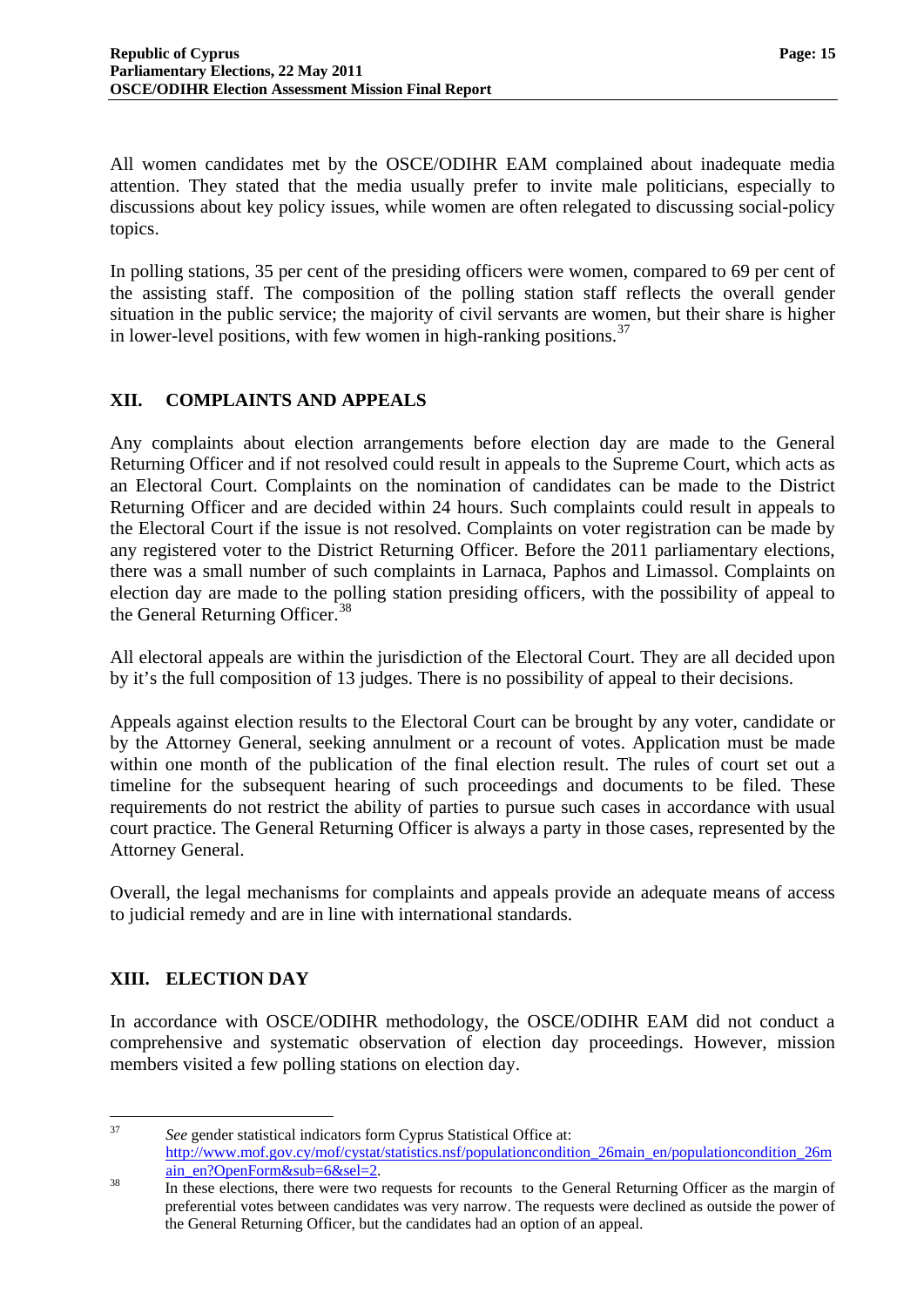All women candidates met by the OSCE/ODIHR EAM complained about inadequate media attention. They stated that the media usually prefer to invite male politicians, especially to discussions about key policy issues, while women are often relegated to discussing social-policy topics.

In polling stations, 35 per cent of the presiding officers were women, compared to 69 per cent of the assisting staff. The composition of the polling station staff reflects the overall gender situation in the public service; the majority of civil servants are women, but their share is higher in lower-level positions, with few women in high-ranking positions.<sup>[37](#page-15-0)</sup>

## <span id="page-16-0"></span>**XII. COMPLAINTS AND APPEALS**

Any complaints about election arrangements before election day are made to the General Returning Officer and if not resolved could result in appeals to the Supreme Court, which acts as an Electoral Court. Complaints on the nomination of candidates can be made to the District Returning Officer and are decided within 24 hours. Such complaints could result in appeals to the Electoral Court if the issue is not resolved. Complaints on voter registration can be made by any registered voter to the District Returning Officer. Before the 2011 parliamentary elections, there was a small number of such complaints in Larnaca, Paphos and Limassol. Complaints on election day are made to the polling station presiding officers, with the possibility of appeal to the General Returning Officer.<sup>[38](#page-16-2)</sup>

All electoral appeals are within the jurisdiction of the Electoral Court. They are all decided upon by it's the full composition of 13 judges. There is no possibility of appeal to their decisions.

Appeals against election results to the Electoral Court can be brought by any voter, candidate or by the Attorney General, seeking annulment or a recount of votes. Application must be made within one month of the publication of the final election result. The rules of court set out a timeline for the subsequent hearing of such proceedings and documents to be filed. These requirements do not restrict the ability of parties to pursue such cases in accordance with usual court practice. The General Returning Officer is always a party in those cases, represented by the Attorney General.

Overall, the legal mechanisms for complaints and appeals provide an adequate means of access to judicial remedy and are in line with international standards.

## <span id="page-16-1"></span>**XIII. ELECTION DAY**

In accordance with OSCE/ODIHR methodology, the OSCE/ODIHR EAM did not conduct a comprehensive and systematic observation of election day proceedings. However, mission members visited a few polling stations on election day.

 $37$ 

See gender statistical indicators form Cyprus Statistical Office at: [http://www.mof.gov.cy/mof/cystat/statistics.nsf/populationcondition\\_26main\\_en/populationcondition\\_26m](http://www.mof.gov.cy/mof/cystat/statistics.nsf/populationcondition_26main_en/populationcondition_26main_en?OpenForm&sub=6&sel=2)

<span id="page-16-2"></span>[ain\\_en?OpenForm&sub=6&sel=2](http://www.mof.gov.cy/mof/cystat/statistics.nsf/populationcondition_26main_en/populationcondition_26main_en?OpenForm&sub=6&sel=2).<br>38 In these elections, there were two requests for recounts to the General Returning Officer as the margin of preferential votes between candidates was very narrow. The requests were declined as outside the power of the General Returning Officer, but the candidates had an option of an appeal.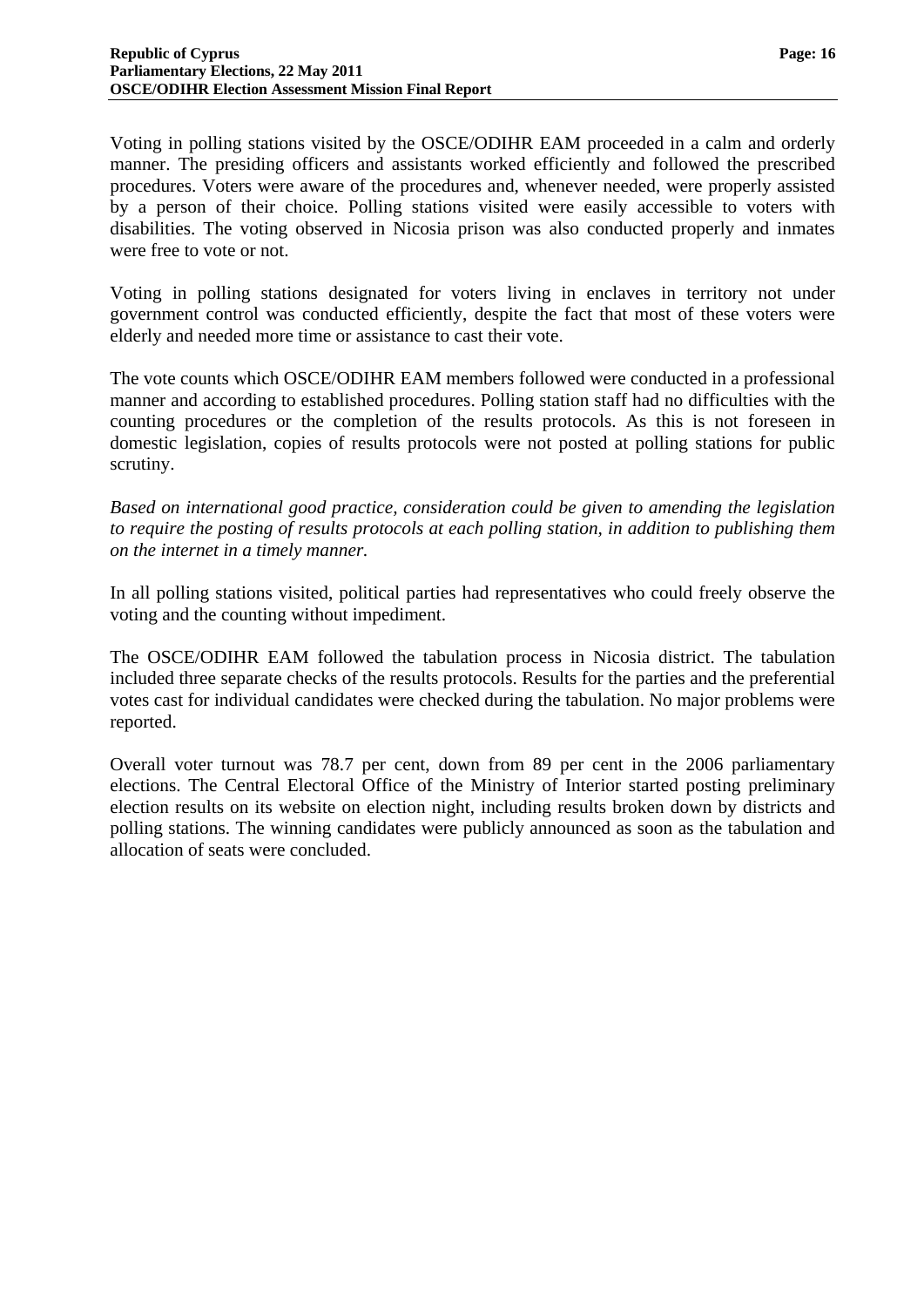Voting in polling stations visited by the OSCE/ODIHR EAM proceeded in a calm and orderly manner. The presiding officers and assistants worked efficiently and followed the prescribed procedures. Voters were aware of the procedures and, whenever needed, were properly assisted by a person of their choice. Polling stations visited were easily accessible to voters with disabilities. The voting observed in Nicosia prison was also conducted properly and inmates were free to vote or not.

Voting in polling stations designated for voters living in enclaves in territory not under government control was conducted efficiently, despite the fact that most of these voters were elderly and needed more time or assistance to cast their vote.

The vote counts which OSCE/ODIHR EAM members followed were conducted in a professional manner and according to established procedures. Polling station staff had no difficulties with the counting procedures or the completion of the results protocols. As this is not foreseen in domestic legislation, copies of results protocols were not posted at polling stations for public scrutiny.

*Based on international good practice, consideration could be given to amending the legislation to require the posting of results protocols at each polling station, in addition to publishing them on the internet in a timely manner.* 

In all polling stations visited, political parties had representatives who could freely observe the voting and the counting without impediment.

The OSCE/ODIHR EAM followed the tabulation process in Nicosia district. The tabulation included three separate checks of the results protocols. Results for the parties and the preferential votes cast for individual candidates were checked during the tabulation. No major problems were reported.

Overall voter turnout was 78.7 per cent, down from 89 per cent in the 2006 parliamentary elections. The Central Electoral Office of the Ministry of Interior started posting preliminary election results on its website on election night, including results broken down by districts and polling stations. The winning candidates were publicly announced as soon as the tabulation and allocation of seats were concluded.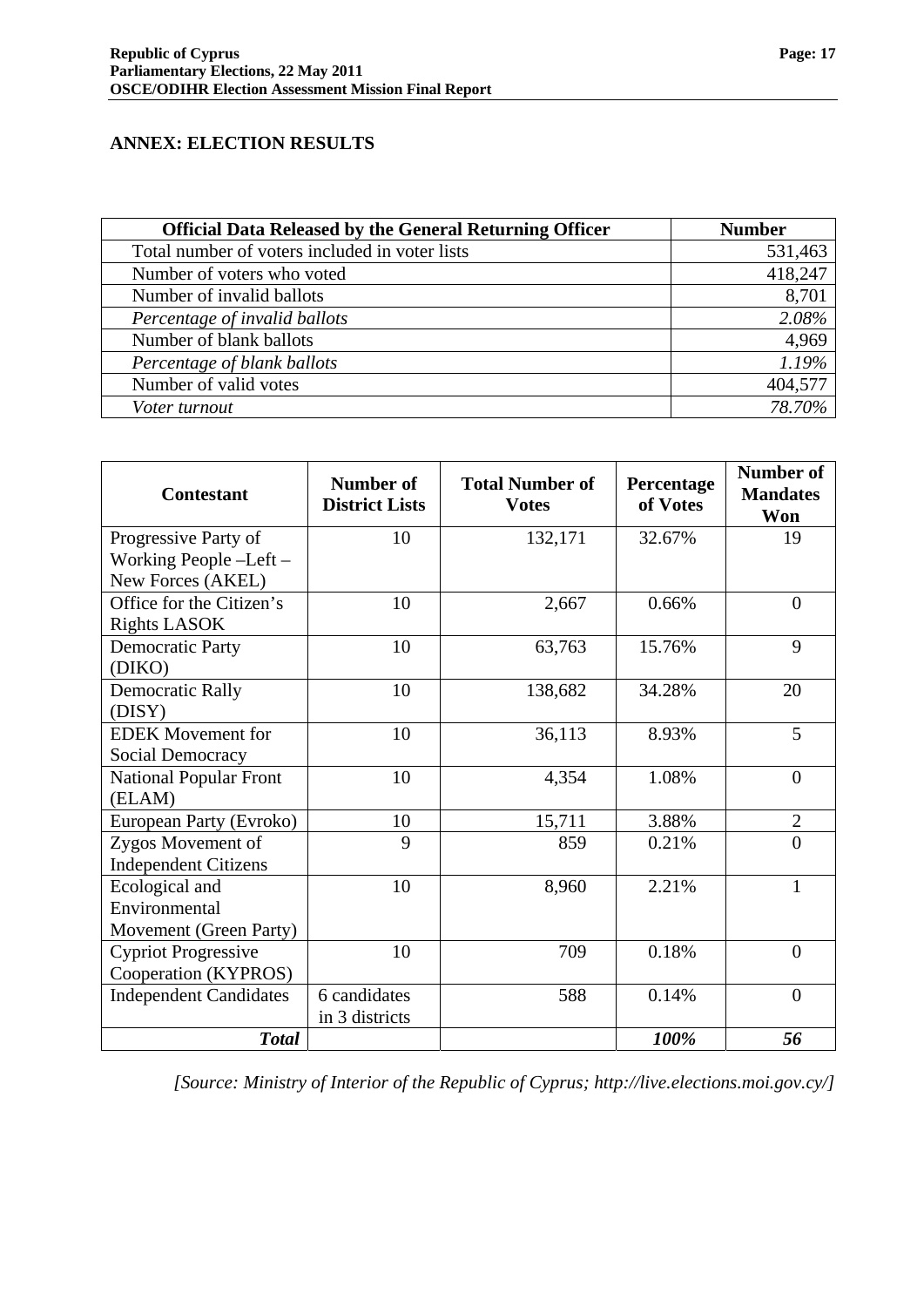#### <span id="page-18-0"></span>**ANNEX: ELECTION RESULTS**

| <b>Official Data Released by the General Returning Officer</b> | <b>Number</b> |
|----------------------------------------------------------------|---------------|
| Total number of voters included in voter lists                 | 531,463       |
| Number of voters who voted                                     | 418,247       |
| Number of invalid ballots                                      | 8,701         |
| Percentage of invalid ballots                                  | 2.08%         |
| Number of blank ballots                                        | 4,969         |
| Percentage of blank ballots                                    | 1.19%         |
| Number of valid votes                                          | 404,577       |
| Voter turnout                                                  | 78.70%        |

| <b>Contestant</b>             | <b>Number of</b><br><b>District Lists</b> | <b>Total Number of</b><br><b>Votes</b> | Percentage<br>of Votes | <b>Number of</b><br><b>Mandates</b><br>Won |
|-------------------------------|-------------------------------------------|----------------------------------------|------------------------|--------------------------------------------|
| Progressive Party of          | 10                                        | 132,171                                | 32.67%                 | 19                                         |
| Working People -Left -        |                                           |                                        |                        |                                            |
| New Forces (AKEL)             |                                           |                                        |                        |                                            |
| Office for the Citizen's      | 10                                        | 2,667                                  | 0.66%                  | $\overline{0}$                             |
| <b>Rights LASOK</b>           |                                           |                                        |                        |                                            |
| <b>Democratic Party</b>       | 10                                        | 63,763                                 | 15.76%                 | 9                                          |
| (DIKO)                        |                                           |                                        |                        |                                            |
| <b>Democratic Rally</b>       | 10                                        | 138,682                                | 34.28%                 | 20                                         |
| (DISY)                        |                                           |                                        |                        |                                            |
| <b>EDEK</b> Movement for      | 10                                        | 36,113                                 | 8.93%                  | 5                                          |
| Social Democracy              |                                           |                                        |                        |                                            |
| <b>National Popular Front</b> | 10                                        | 4,354                                  | 1.08%                  | $\overline{0}$                             |
| (ELAM)                        |                                           |                                        |                        |                                            |
| European Party (Evroko)       | 10                                        | 15,711                                 | 3.88%                  | $\overline{2}$                             |
| Zygos Movement of             | 9                                         | 859                                    | 0.21%                  | $\theta$                                   |
| <b>Independent Citizens</b>   |                                           |                                        |                        |                                            |
| Ecological and                | 10                                        | 8,960                                  | 2.21%                  | 1                                          |
| Environmental                 |                                           |                                        |                        |                                            |
| Movement (Green Party)        |                                           |                                        |                        |                                            |
| <b>Cypriot Progressive</b>    | 10                                        | 709                                    | 0.18%                  | $\theta$                                   |
| Cooperation (KYPROS)          |                                           |                                        |                        |                                            |
| <b>Independent Candidates</b> | 6 candidates                              | 588                                    | 0.14%                  | $\overline{0}$                             |
|                               | in 3 districts                            |                                        |                        |                                            |
| <b>Total</b>                  |                                           |                                        | 100%                   | 56                                         |

*[Source: Ministry of Interior of the Republic of Cyprus; http://live.elections.moi.gov.cy/]*